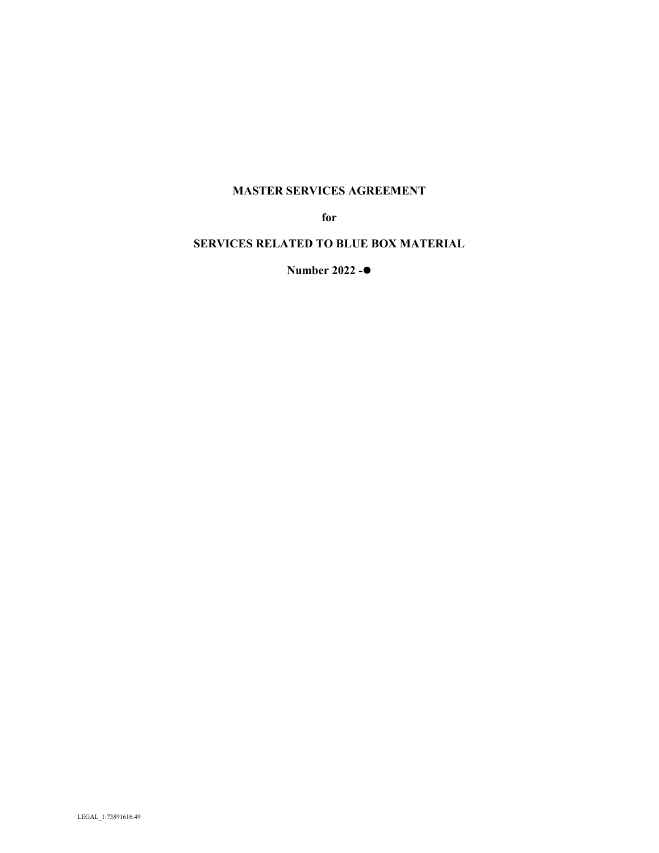# **MASTER SERVICES AGREEMENT**

**for**

# **SERVICES RELATED TO BLUE BOX MATERIAL**

**Number 2022 -**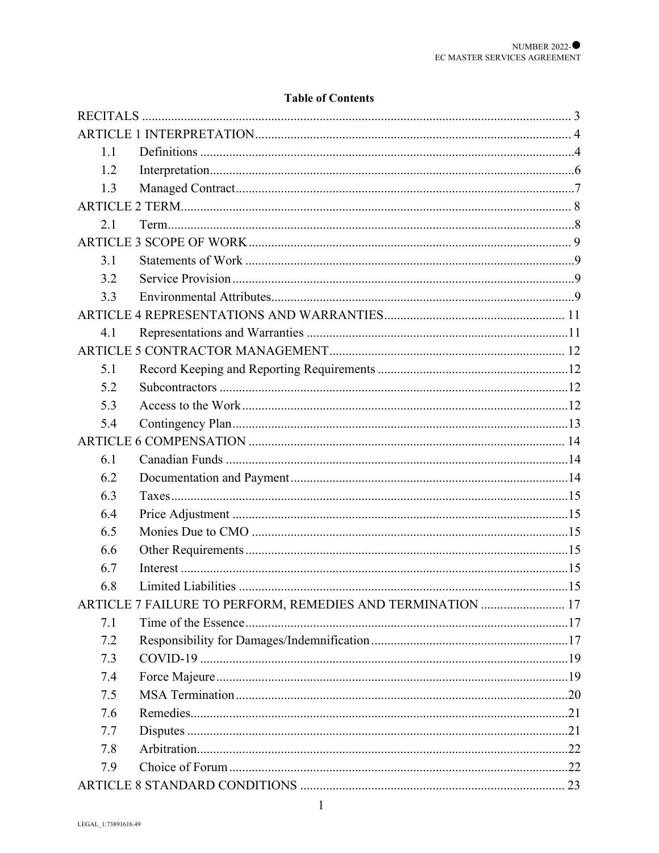# **Table of Contents**

| 1.1                                                        |  |  |  |
|------------------------------------------------------------|--|--|--|
| 1.2                                                        |  |  |  |
| 1.3                                                        |  |  |  |
|                                                            |  |  |  |
| 2.1                                                        |  |  |  |
|                                                            |  |  |  |
| 3.1                                                        |  |  |  |
| 3.2                                                        |  |  |  |
| 3.3                                                        |  |  |  |
|                                                            |  |  |  |
| 4.1                                                        |  |  |  |
|                                                            |  |  |  |
| 5.1                                                        |  |  |  |
| 5.2                                                        |  |  |  |
| 5.3                                                        |  |  |  |
| 5.4                                                        |  |  |  |
|                                                            |  |  |  |
| 6.1                                                        |  |  |  |
| 6.2                                                        |  |  |  |
| 6.3                                                        |  |  |  |
| 6.4                                                        |  |  |  |
| 6.5                                                        |  |  |  |
| 6.6                                                        |  |  |  |
| 6.7                                                        |  |  |  |
| 6.8                                                        |  |  |  |
| ARTICLE 7 FAILURE TO PERFORM, REMEDIES AND TERMINATION  17 |  |  |  |
| 7.1                                                        |  |  |  |
| 7.2                                                        |  |  |  |
| 7.3                                                        |  |  |  |
| 7.4                                                        |  |  |  |
| 7.5                                                        |  |  |  |
| 7.6                                                        |  |  |  |
| 7.7                                                        |  |  |  |
| 7.8                                                        |  |  |  |
| 7.9                                                        |  |  |  |
|                                                            |  |  |  |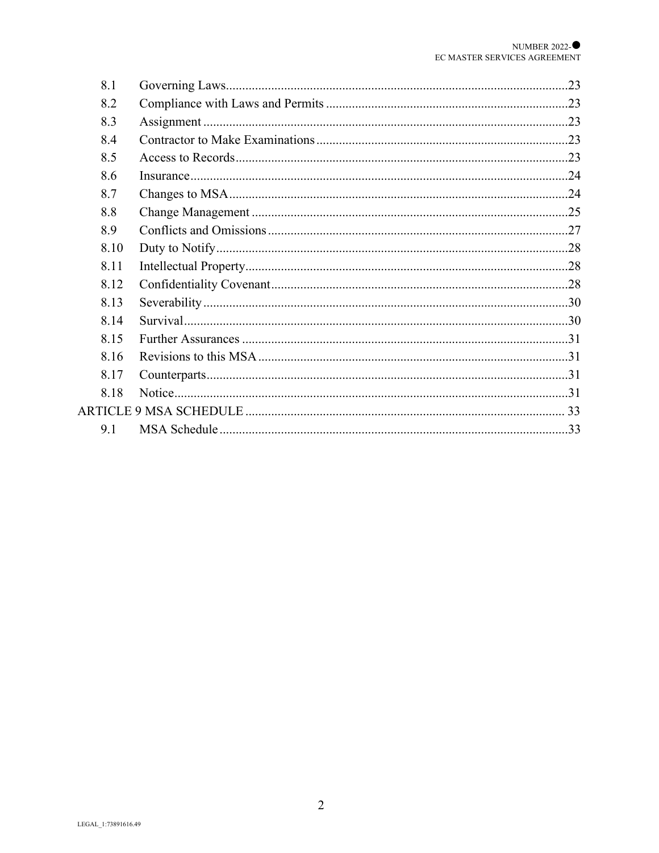| 8.1  |  |
|------|--|
| 8.2  |  |
| 8.3  |  |
| 8.4  |  |
| 8.5  |  |
| 8.6  |  |
| 8.7  |  |
| 8.8  |  |
| 8.9  |  |
| 8.10 |  |
| 8.11 |  |
| 8.12 |  |
| 8.13 |  |
| 8.14 |  |
| 8.15 |  |
| 8.16 |  |
| 8.17 |  |
| 8.18 |  |
|      |  |
| 9.1  |  |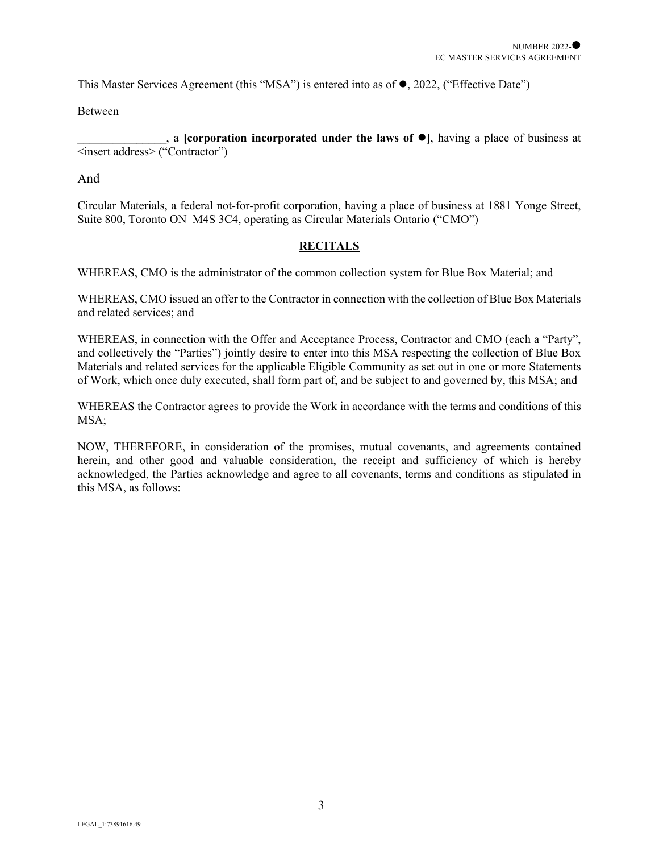This Master Services Agreement (this "MSA") is entered into as of  $\bullet$ , 2022, ("Effective Date")

Between

\_\_\_\_\_\_\_\_\_\_\_\_\_\_\_, a **[corporation incorporated under the laws of ]**, having a place of business at <insert address> ("Contractor")

And

Circular Materials, a federal not-for-profit corporation, having a place of business at 1881 Yonge Street, Suite 800, Toronto ON M4S 3C4, operating as Circular Materials Ontario ("CMO")

# **RECITALS**

<span id="page-3-0"></span>WHEREAS, CMO is the administrator of the common collection system for Blue Box Material; and

WHEREAS, CMO issued an offer to the Contractor in connection with the collection of Blue Box Materials and related services; and

WHEREAS, in connection with the Offer and Acceptance Process, Contractor and CMO (each a "Party", and collectively the "Parties") jointly desire to enter into this MSA respecting the collection of Blue Box Materials and related services for the applicable Eligible Community as set out in one or more Statements of Work, which once duly executed, shall form part of, and be subject to and governed by, this MSA; and

WHEREAS the Contractor agrees to provide the Work in accordance with the terms and conditions of this MSA;

NOW, THEREFORE, in consideration of the promises, mutual covenants, and agreements contained herein, and other good and valuable consideration, the receipt and sufficiency of which is hereby acknowledged, the Parties acknowledge and agree to all covenants, terms and conditions as stipulated in this MSA, as follows: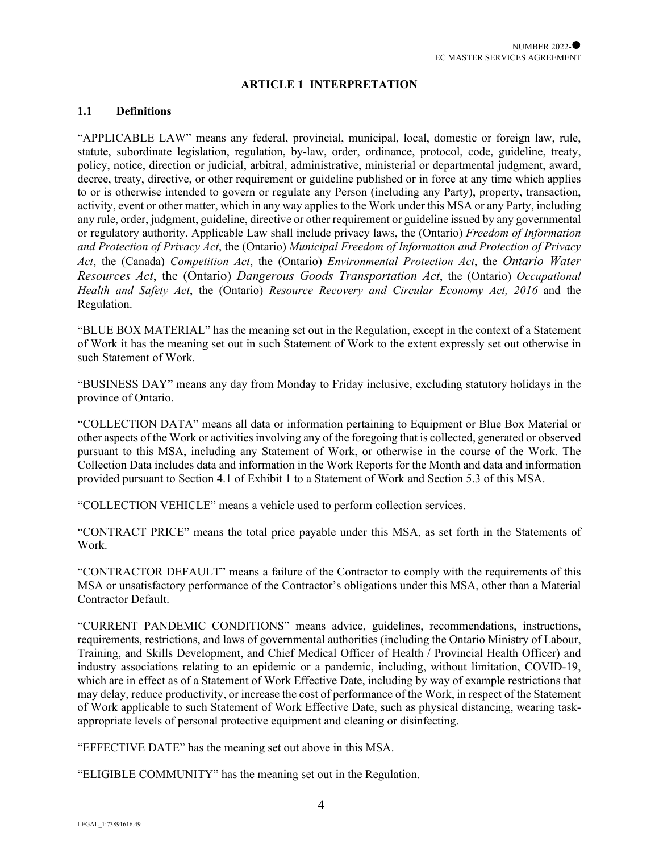### <span id="page-4-0"></span>**ARTICLE 1 INTERPRETATION**

#### <span id="page-4-1"></span>**1.1 Definitions**

"APPLICABLE LAW" means any federal, provincial, municipal, local, domestic or foreign law, rule, statute, subordinate legislation, regulation, by-law, order, ordinance, protocol, code, guideline, treaty, policy, notice, direction or judicial, arbitral, administrative, ministerial or departmental judgment, award, decree, treaty, directive, or other requirement or guideline published or in force at any time which applies to or is otherwise intended to govern or regulate any Person (including any Party), property, transaction, activity, event or other matter, which in any way applies to the Work under this MSA or any Party, including any rule, order, judgment, guideline, directive or other requirement or guideline issued by any governmental or regulatory authority. Applicable Law shall include privacy laws, the (Ontario) *Freedom of Information and Protection of Privacy Act*, the (Ontario) *Municipal Freedom of Information and Protection of Privacy Act*, the (Canada) *Competition Act*, the (Ontario) *Environmental Protection Act*, the *Ontario Water Resources Act*, the (Ontario) *Dangerous Goods Transportation Act*, the (Ontario) *Occupational Health and Safety Act*, the (Ontario) *Resource Recovery and Circular Economy Act, 2016* and the Regulation.

"BLUE BOX MATERIAL" has the meaning set out in the Regulation, except in the context of a Statement of Work it has the meaning set out in such Statement of Work to the extent expressly set out otherwise in such Statement of Work.

"BUSINESS DAY" means any day from Monday to Friday inclusive, excluding statutory holidays in the province of Ontario.

"COLLECTION DATA" means all data or information pertaining to Equipment or Blue Box Material or other aspects of the Work or activities involving any of the foregoing that is collected, generated or observed pursuant to this MSA, including any Statement of Work, or otherwise in the course of the Work. The Collection Data includes data and information in the Work Reports for the Month and data and information provided pursuant to Section 4.1 of Exhibit 1 to a Statement of Work and Section 5.3 of this MSA.

"COLLECTION VEHICLE" means a vehicle used to perform collection services.

"CONTRACT PRICE" means the total price payable under this MSA, as set forth in the Statements of Work.

"CONTRACTOR DEFAULT" means a failure of the Contractor to comply with the requirements of this MSA or unsatisfactory performance of the Contractor's obligations under this MSA, other than a Material Contractor Default.

"CURRENT PANDEMIC CONDITIONS" means advice, guidelines, recommendations, instructions, requirements, restrictions, and laws of governmental authorities (including the Ontario Ministry of Labour, Training, and Skills Development, and Chief Medical Officer of Health / Provincial Health Officer) and industry associations relating to an epidemic or a pandemic, including, without limitation, COVID-19, which are in effect as of a Statement of Work Effective Date, including by way of example restrictions that may delay, reduce productivity, or increase the cost of performance of the Work, in respect of the Statement of Work applicable to such Statement of Work Effective Date, such as physical distancing, wearing taskappropriate levels of personal protective equipment and cleaning or disinfecting.

"EFFECTIVE DATE" has the meaning set out above in this MSA.

"ELIGIBLE COMMUNITY" has the meaning set out in the Regulation.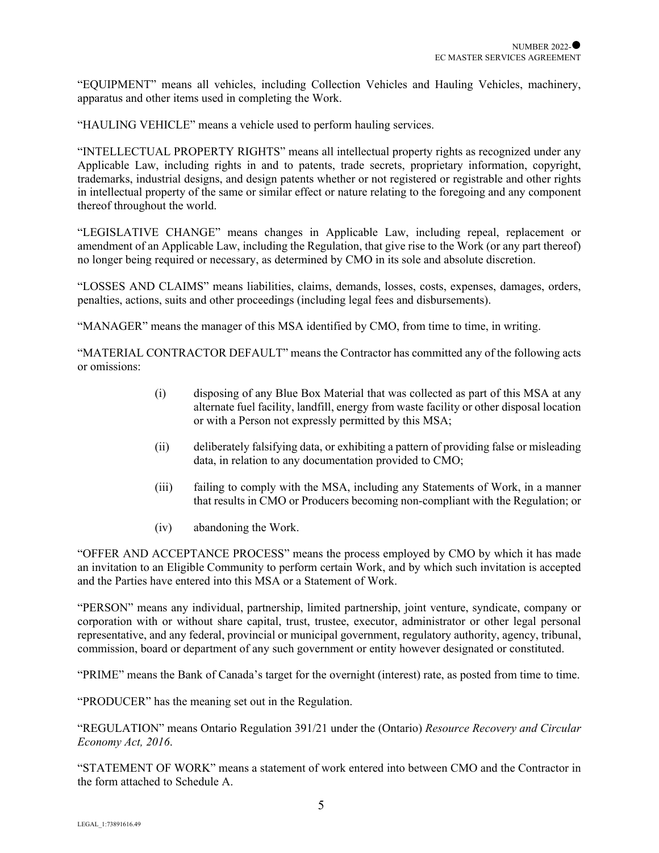"EQUIPMENT" means all vehicles, including Collection Vehicles and Hauling Vehicles, machinery, apparatus and other items used in completing the Work.

"HAULING VEHICLE" means a vehicle used to perform hauling services.

"INTELLECTUAL PROPERTY RIGHTS" means all intellectual property rights as recognized under any Applicable Law, including rights in and to patents, trade secrets, proprietary information, copyright, trademarks, industrial designs, and design patents whether or not registered or registrable and other rights in intellectual property of the same or similar effect or nature relating to the foregoing and any component thereof throughout the world.

"LEGISLATIVE CHANGE" means changes in Applicable Law, including repeal, replacement or amendment of an Applicable Law, including the Regulation, that give rise to the Work (or any part thereof) no longer being required or necessary, as determined by CMO in its sole and absolute discretion.

"LOSSES AND CLAIMS" means liabilities, claims, demands, losses, costs, expenses, damages, orders, penalties, actions, suits and other proceedings (including legal fees and disbursements).

"MANAGER" means the manager of this MSA identified by CMO, from time to time, in writing.

"MATERIAL CONTRACTOR DEFAULT" means the Contractor has committed any of the following acts or omissions:

- (i) disposing of any Blue Box Material that was collected as part of this MSA at any alternate fuel facility, landfill, energy from waste facility or other disposal location or with a Person not expressly permitted by this MSA;
- (ii) deliberately falsifying data, or exhibiting a pattern of providing false or misleading data, in relation to any documentation provided to CMO;
- (iii) failing to comply with the MSA, including any Statements of Work, in a manner that results in CMO or Producers becoming non-compliant with the Regulation; or
- (iv) abandoning the Work.

"OFFER AND ACCEPTANCE PROCESS" means the process employed by CMO by which it has made an invitation to an Eligible Community to perform certain Work, and by which such invitation is accepted and the Parties have entered into this MSA or a Statement of Work.

"PERSON" means any individual, partnership, limited partnership, joint venture, syndicate, company or corporation with or without share capital, trust, trustee, executor, administrator or other legal personal representative, and any federal, provincial or municipal government, regulatory authority, agency, tribunal, commission, board or department of any such government or entity however designated or constituted.

"PRIME" means the Bank of Canada's target for the overnight (interest) rate, as posted from time to time.

"PRODUCER" has the meaning set out in the Regulation.

"REGULATION" means Ontario Regulation 391/21 under the (Ontario) *Resource Recovery and Circular Economy Act, 2016*.

"STATEMENT OF WORK" means a statement of work entered into between CMO and the Contractor in the form attached to Schedule A.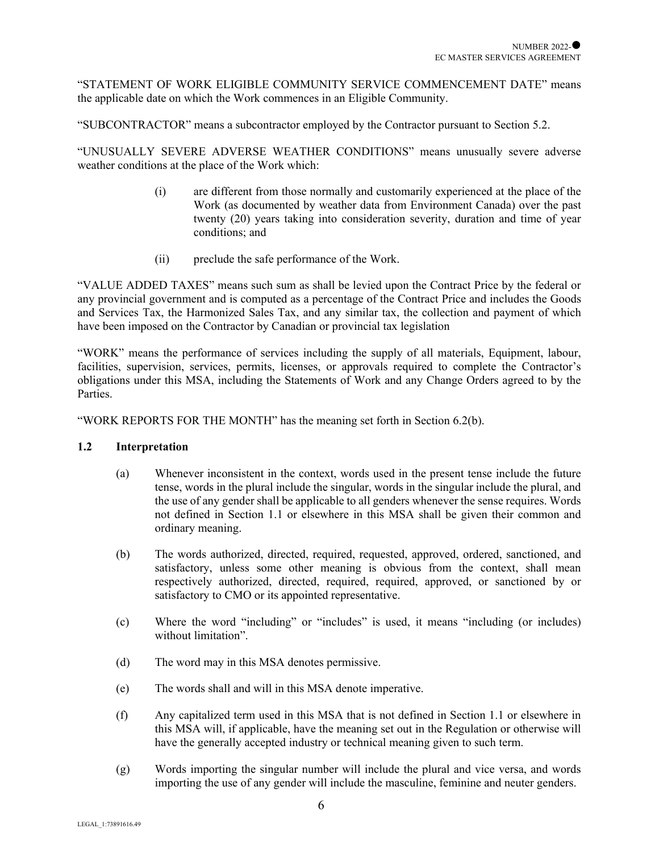"STATEMENT OF WORK ELIGIBLE COMMUNITY SERVICE COMMENCEMENT DATE" means the applicable date on which the Work commences in an Eligible Community.

"SUBCONTRACTOR" means a subcontractor employed by the Contractor pursuant to Section 5.2.

"UNUSUALLY SEVERE ADVERSE WEATHER CONDITIONS" means unusually severe adverse weather conditions at the place of the Work which:

- (i) are different from those normally and customarily experienced at the place of the Work (as documented by weather data from Environment Canada) over the past twenty (20) years taking into consideration severity, duration and time of year conditions; and
- (ii) preclude the safe performance of the Work.

"VALUE ADDED TAXES" means such sum as shall be levied upon the Contract Price by the federal or any provincial government and is computed as a percentage of the Contract Price and includes the Goods and Services Tax, the Harmonized Sales Tax, and any similar tax, the collection and payment of which have been imposed on the Contractor by Canadian or provincial tax legislation

"WORK" means the performance of services including the supply of all materials, Equipment, labour, facilities, supervision, services, permits, licenses, or approvals required to complete the Contractor's obligations under this MSA, including the Statements of Work and any Change Orders agreed to by the Parties.

"WORK REPORTS FOR THE MONTH" has the meaning set forth in Section 6.2(b).

# <span id="page-6-0"></span>**1.2 Interpretation**

- (a) Whenever inconsistent in the context, words used in the present tense include the future tense, words in the plural include the singular, words in the singular include the plural, and the use of any gender shall be applicable to all genders whenever the sense requires. Words not defined in Section [1.1](#page-4-1) or elsewhere in this MSA shall be given their common and ordinary meaning.
- (b) The words authorized, directed, required, requested, approved, ordered, sanctioned, and satisfactory, unless some other meaning is obvious from the context, shall mean respectively authorized, directed, required, required, approved, or sanctioned by or satisfactory to CMO or its appointed representative.
- (c) Where the word "including" or "includes" is used, it means "including (or includes) without limitation".
- (d) The word may in this MSA denotes permissive.
- (e) The words shall and will in this MSA denote imperative.
- (f) Any capitalized term used in this MSA that is not defined in Section [1.1](#page-4-1) or elsewhere in this MSA will, if applicable, have the meaning set out in the Regulation or otherwise will have the generally accepted industry or technical meaning given to such term.
- (g) Words importing the singular number will include the plural and vice versa, and words importing the use of any gender will include the masculine, feminine and neuter genders.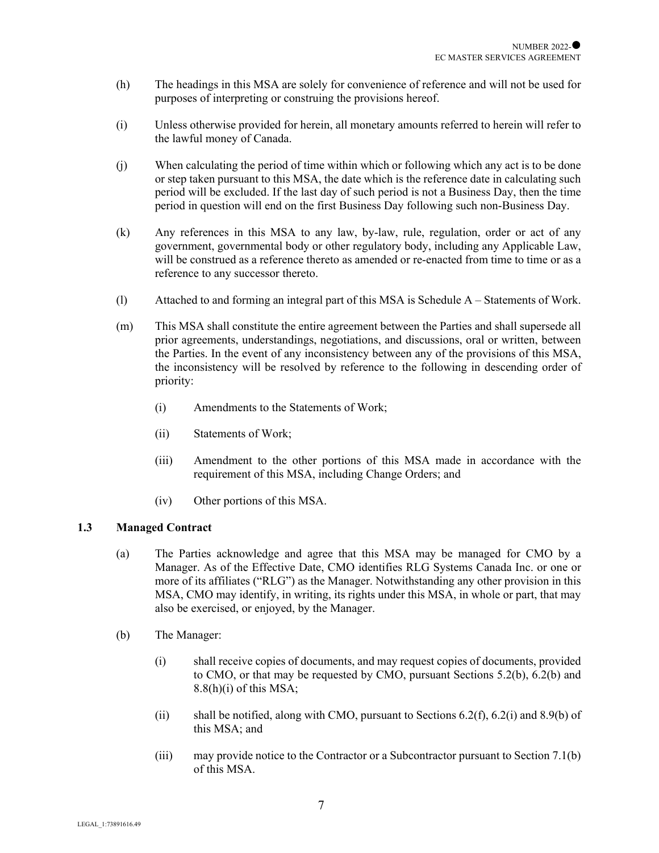- (h) The headings in this MSA are solely for convenience of reference and will not be used for purposes of interpreting or construing the provisions hereof.
- (i) Unless otherwise provided for herein, all monetary amounts referred to herein will refer to the lawful money of Canada.
- (j) When calculating the period of time within which or following which any act is to be done or step taken pursuant to this MSA, the date which is the reference date in calculating such period will be excluded. If the last day of such period is not a Business Day, then the time period in question will end on the first Business Day following such non-Business Day.
- (k) Any references in this MSA to any law, by-law, rule, regulation, order or act of any government, governmental body or other regulatory body, including any Applicable Law, will be construed as a reference thereto as amended or re-enacted from time to time or as a reference to any successor thereto.
- (l) Attached to and forming an integral part of this MSA is Schedule A Statements of Work.
- (m) This MSA shall constitute the entire agreement between the Parties and shall supersede all prior agreements, understandings, negotiations, and discussions, oral or written, between the Parties. In the event of any inconsistency between any of the provisions of this MSA, the inconsistency will be resolved by reference to the following in descending order of priority:
	- (i) Amendments to the Statements of Work;
	- (ii) Statements of Work;
	- (iii) Amendment to the other portions of this MSA made in accordance with the requirement of this MSA, including Change Orders; and
	- (iv) Other portions of this MSA.

# <span id="page-7-0"></span>**1.3 Managed Contract**

- (a) The Parties acknowledge and agree that this MSA may be managed for CMO by a Manager. As of the Effective Date, CMO identifies RLG Systems Canada Inc. or one or more of its affiliates ("RLG") as the Manager. Notwithstanding any other provision in this MSA, CMO may identify, in writing, its rights under this MSA, in whole or part, that may also be exercised, or enjoyed, by the Manager.
- (b) The Manager:
	- (i) shall receive copies of documents, and may request copies of documents, provided to CMO, or that may be requested by CMO, pursuant Sections 5.2(b), 6.2(b) and  $8.8(h)(i)$  of this MSA;
	- (ii) shall be notified, along with CMO, pursuant to Sections  $6.2(f)$ ,  $6.2(i)$  and  $8.9(b)$  of this MSA; and
	- (iii) may provide notice to the Contractor or a Subcontractor pursuant to Section 7.1(b) of this MSA.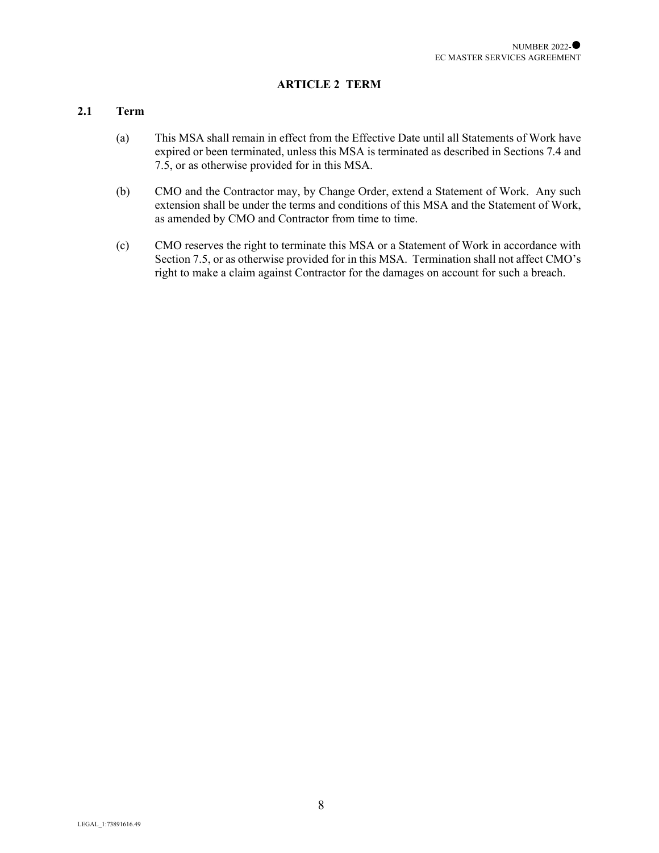# <span id="page-8-0"></span>**ARTICLE 2 TERM**

#### <span id="page-8-1"></span>**2.1 Term**

- (a) This MSA shall remain in effect from the Effective Date until all Statements of Work have expired or been terminated, unless this MSA is terminated as described in Sections 7.4 and [7.5,](#page-20-0) or as otherwise provided for in this MSA.
- (b) CMO and the Contractor may, by Change Order, extend a Statement of Work. Any such extension shall be under the terms and conditions of this MSA and the Statement of Work, as amended by CMO and Contractor from time to time.
- (c) CMO reserves the right to terminate this MSA or a Statement of Work in accordance with Section [7.5,](#page-20-0) or as otherwise provided for in this MSA. Termination shall not affect CMO's right to make a claim against Contractor for the damages on account for such a breach.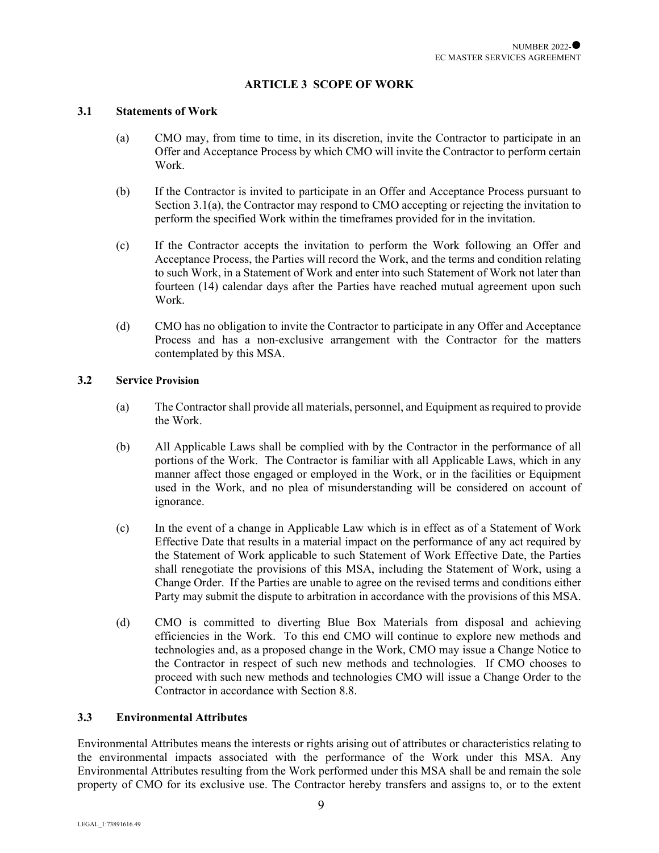# <span id="page-9-0"></span>**ARTICLE 3 SCOPE OF WORK**

#### <span id="page-9-1"></span>**3.1 Statements of Work**

- (a) CMO may, from time to time, in its discretion, invite the Contractor to participate in an Offer and Acceptance Process by which CMO will invite the Contractor to perform certain Work.
- (b) If the Contractor is invited to participate in an Offer and Acceptance Process pursuant to Section 3.1(a), the Contractor may respond to CMO accepting or rejecting the invitation to perform the specified Work within the timeframes provided for in the invitation.
- (c) If the Contractor accepts the invitation to perform the Work following an Offer and Acceptance Process, the Parties will record the Work, and the terms and condition relating to such Work, in a Statement of Work and enter into such Statement of Work not later than fourteen (14) calendar days after the Parties have reached mutual agreement upon such Work.
- (d) CMO has no obligation to invite the Contractor to participate in any Offer and Acceptance Process and has a non-exclusive arrangement with the Contractor for the matters contemplated by this MSA.

#### <span id="page-9-2"></span>**3.2 Service Provision**

- (a) The Contractor shall provide all materials, personnel, and Equipment as required to provide the Work.
- (b) All Applicable Laws shall be complied with by the Contractor in the performance of all portions of the Work. The Contractor is familiar with all Applicable Laws, which in any manner affect those engaged or employed in the Work, or in the facilities or Equipment used in the Work, and no plea of misunderstanding will be considered on account of ignorance.
- (c) In the event of a change in Applicable Law which is in effect as of a Statement of Work Effective Date that results in a material impact on the performance of any act required by the Statement of Work applicable to such Statement of Work Effective Date, the Parties shall renegotiate the provisions of this MSA, including the Statement of Work, using a Change Order. If the Parties are unable to agree on the revised terms and conditions either Party may submit the dispute to arbitration in accordance with the provisions of this MSA.
- (d) CMO is committed to diverting Blue Box Materials from disposal and achieving efficiencies in the Work. To this end CMO will continue to explore new methods and technologies and, as a proposed change in the Work, CMO may issue a Change Notice to the Contractor in respect of such new methods and technologies. If CMO chooses to proceed with such new methods and technologies CMO will issue a Change Order to the Contractor in accordance with Section 8.8.

# <span id="page-9-3"></span>**3.3 Environmental Attributes**

Environmental Attributes means the interests or rights arising out of attributes or characteristics relating to the environmental impacts associated with the performance of the Work under this MSA. Any Environmental Attributes resulting from the Work performed under this MSA shall be and remain the sole property of CMO for its exclusive use. The Contractor hereby transfers and assigns to, or to the extent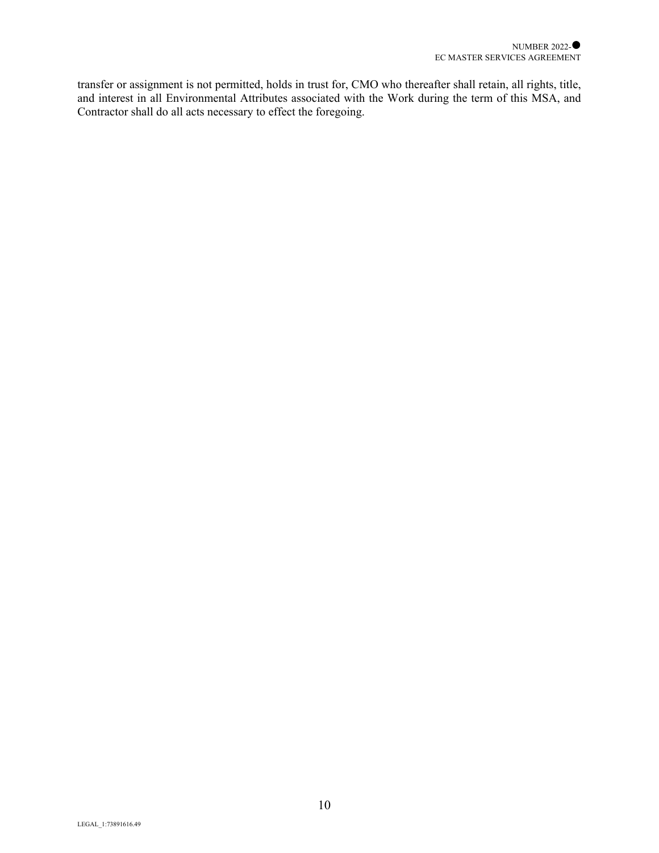transfer or assignment is not permitted, holds in trust for, CMO who thereafter shall retain, all rights, title, and interest in all Environmental Attributes associated with the Work during the term of this MSA, and Contractor shall do all acts necessary to effect the foregoing.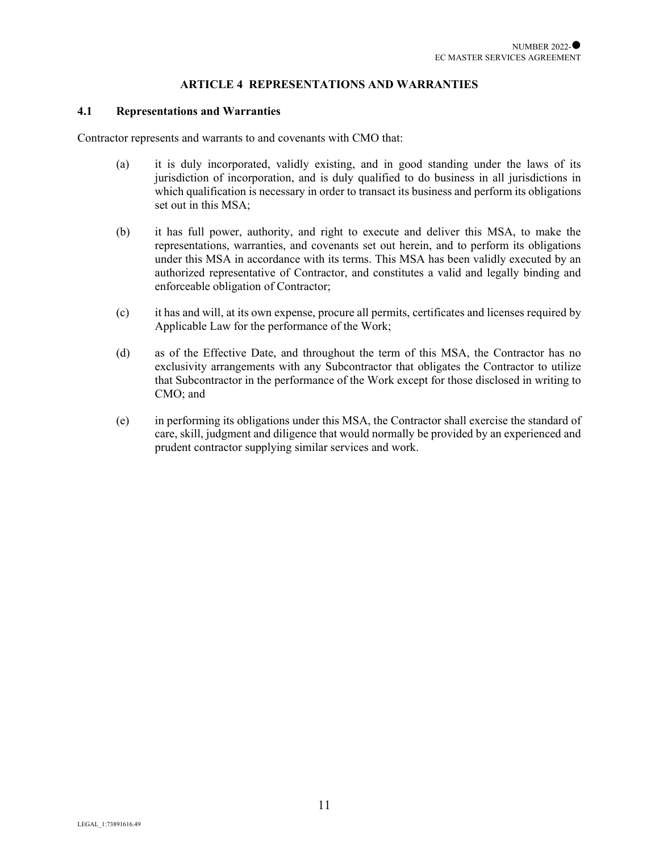### <span id="page-11-0"></span>**ARTICLE 4 REPRESENTATIONS AND WARRANTIES**

#### <span id="page-11-1"></span>**4.1 Representations and Warranties**

Contractor represents and warrants to and covenants with CMO that:

- (a) it is duly incorporated, validly existing, and in good standing under the laws of its jurisdiction of incorporation, and is duly qualified to do business in all jurisdictions in which qualification is necessary in order to transact its business and perform its obligations set out in this MSA;
- (b) it has full power, authority, and right to execute and deliver this MSA, to make the representations, warranties, and covenants set out herein, and to perform its obligations under this MSA in accordance with its terms. This MSA has been validly executed by an authorized representative of Contractor, and constitutes a valid and legally binding and enforceable obligation of Contractor;
- (c) it has and will, at its own expense, procure all permits, certificates and licenses required by Applicable Law for the performance of the Work;
- (d) as of the Effective Date, and throughout the term of this MSA, the Contractor has no exclusivity arrangements with any Subcontractor that obligates the Contractor to utilize that Subcontractor in the performance of the Work except for those disclosed in writing to CMO; and
- <span id="page-11-2"></span>(e) in performing its obligations under this MSA, the Contractor shall exercise the standard of care, skill, judgment and diligence that would normally be provided by an experienced and prudent contractor supplying similar services and work.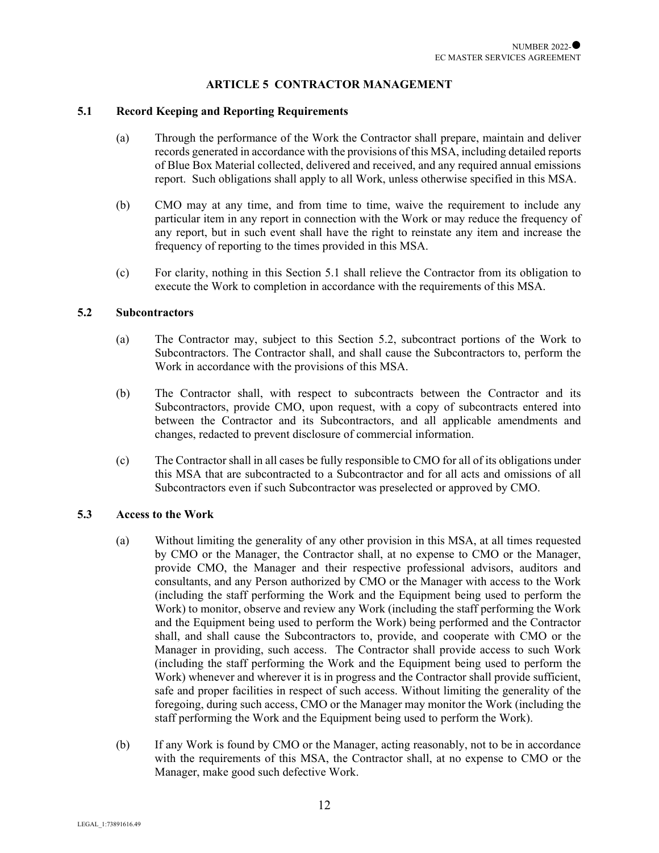# <span id="page-12-0"></span>**ARTICLE 5 CONTRACTOR MANAGEMENT**

#### <span id="page-12-1"></span>**5.1 Record Keeping and Reporting Requirements**

- (a) Through the performance of the Work the Contractor shall prepare, maintain and deliver records generated in accordance with the provisions of this MSA, including detailed reports of Blue Box Material collected, delivered and received, and any required annual emissions report. Such obligations shall apply to all Work, unless otherwise specified in this MSA.
- (b) CMO may at any time, and from time to time, waive the requirement to include any particular item in any report in connection with the Work or may reduce the frequency of any report, but in such event shall have the right to reinstate any item and increase the frequency of reporting to the times provided in this MSA.
- (c) For clarity, nothing in this Section [5.1](#page-12-1) shall relieve the Contractor from its obligation to execute the Work to completion in accordance with the requirements of this MSA.

#### <span id="page-12-2"></span>**5.2 Subcontractors**

- (a) The Contractor may, subject to this Section [5.2,](#page-12-2) subcontract portions of the Work to Subcontractors. The Contractor shall, and shall cause the Subcontractors to, perform the Work in accordance with the provisions of this MSA.
- (b) The Contractor shall, with respect to subcontracts between the Contractor and its Subcontractors, provide CMO, upon request, with a copy of subcontracts entered into between the Contractor and its Subcontractors, and all applicable amendments and changes, redacted to prevent disclosure of commercial information.
- (c) The Contractor shall in all cases be fully responsible to CMO for all of its obligations under this MSA that are subcontracted to a Subcontractor and for all acts and omissions of all Subcontractors even if such Subcontractor was preselected or approved by CMO.

# <span id="page-12-3"></span>**5.3 Access to the Work**

- (a) Without limiting the generality of any other provision in this MSA, at all times requested by CMO or the Manager, the Contractor shall, at no expense to CMO or the Manager, provide CMO, the Manager and their respective professional advisors, auditors and consultants, and any Person authorized by CMO or the Manager with access to the Work (including the staff performing the Work and the Equipment being used to perform the Work) to monitor, observe and review any Work (including the staff performing the Work and the Equipment being used to perform the Work) being performed and the Contractor shall, and shall cause the Subcontractors to, provide, and cooperate with CMO or the Manager in providing, such access. The Contractor shall provide access to such Work (including the staff performing the Work and the Equipment being used to perform the Work) whenever and wherever it is in progress and the Contractor shall provide sufficient, safe and proper facilities in respect of such access. Without limiting the generality of the foregoing, during such access, CMO or the Manager may monitor the Work (including the staff performing the Work and the Equipment being used to perform the Work).
- (b) If any Work is found by CMO or the Manager, acting reasonably, not to be in accordance with the requirements of this MSA, the Contractor shall, at no expense to CMO or the Manager, make good such defective Work.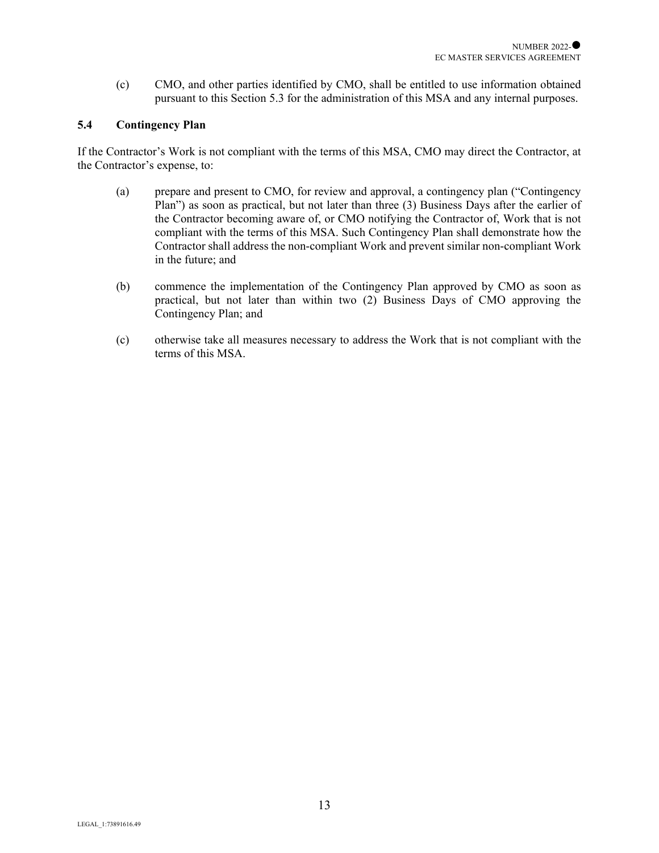(c) CMO, and other parties identified by CMO, shall be entitled to use information obtained pursuant to this Section [5.3](#page-12-3) for the administration of this MSA and any internal purposes.

# <span id="page-13-0"></span>**5.4 Contingency Plan**

If the Contractor's Work is not compliant with the terms of this MSA, CMO may direct the Contractor, at the Contractor's expense, to:

- (a) prepare and present to CMO, for review and approval, a contingency plan ("Contingency Plan") as soon as practical, but not later than three (3) Business Days after the earlier of the Contractor becoming aware of, or CMO notifying the Contractor of, Work that is not compliant with the terms of this MSA. Such Contingency Plan shall demonstrate how the Contractor shall address the non-compliant Work and prevent similar non-compliant Work in the future; and
- (b) commence the implementation of the Contingency Plan approved by CMO as soon as practical, but not later than within two (2) Business Days of CMO approving the Contingency Plan; and
- (c) otherwise take all measures necessary to address the Work that is not compliant with the terms of this MSA.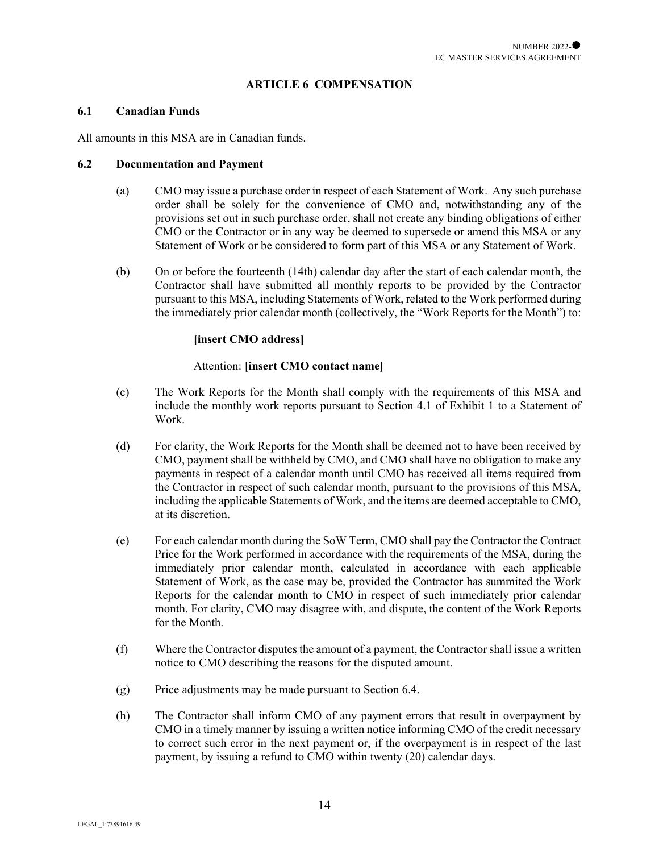# <span id="page-14-0"></span>**ARTICLE 6 COMPENSATION**

### <span id="page-14-1"></span>**6.1 Canadian Funds**

All amounts in this MSA are in Canadian funds.

#### <span id="page-14-2"></span>**6.2 Documentation and Payment**

- (a) CMO may issue a purchase order in respect of each Statement of Work. Any such purchase order shall be solely for the convenience of CMO and, notwithstanding any of the provisions set out in such purchase order, shall not create any binding obligations of either CMO or the Contractor or in any way be deemed to supersede or amend this MSA or any Statement of Work or be considered to form part of this MSA or any Statement of Work.
- (b) On or before the fourteenth (14th) calendar day after the start of each calendar month, the Contractor shall have submitted all monthly reports to be provided by the Contractor pursuant to this MSA, including Statements of Work, related to the Work performed during the immediately prior calendar month (collectively, the "Work Reports for the Month") to:

# **[insert CMO address]**

#### Attention: **[insert CMO contact name]**

- (c) The Work Reports for the Month shall comply with the requirements of this MSA and include the monthly work reports pursuant to Section 4.1 of Exhibit 1 to a Statement of Work.
- (d) For clarity, the Work Reports for the Month shall be deemed not to have been received by CMO, payment shall be withheld by CMO, and CMO shall have no obligation to make any payments in respect of a calendar month until CMO has received all items required from the Contractor in respect of such calendar month, pursuant to the provisions of this MSA, including the applicable Statements of Work, and the items are deemed acceptable to CMO, at its discretion.
- (e) For each calendar month during the SoW Term, CMO shall pay the Contractor the Contract Price for the Work performed in accordance with the requirements of the MSA, during the immediately prior calendar month, calculated in accordance with each applicable Statement of Work, as the case may be, provided the Contractor has summited the Work Reports for the calendar month to CMO in respect of such immediately prior calendar month. For clarity, CMO may disagree with, and dispute, the content of the Work Reports for the Month.
- (f) Where the Contractor disputes the amount of a payment, the Contractor shall issue a written notice to CMO describing the reasons for the disputed amount.
- (g) Price adjustments may be made pursuant to Section [6.4.](#page-15-1)
- (h) The Contractor shall inform CMO of any payment errors that result in overpayment by CMO in a timely manner by issuing a written notice informing CMO of the credit necessary to correct such error in the next payment or, if the overpayment is in respect of the last payment, by issuing a refund to CMO within twenty (20) calendar days.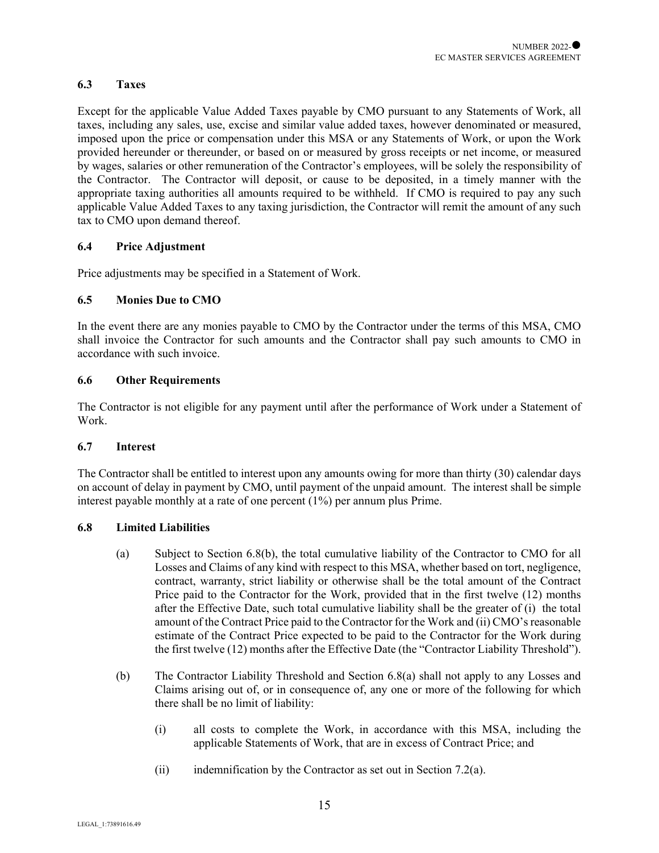# <span id="page-15-0"></span>**6.3 Taxes**

Except for the applicable Value Added Taxes payable by CMO pursuant to any Statements of Work, all taxes, including any sales, use, excise and similar value added taxes, however denominated or measured, imposed upon the price or compensation under this MSA or any Statements of Work, or upon the Work provided hereunder or thereunder, or based on or measured by gross receipts or net income, or measured by wages, salaries or other remuneration of the Contractor's employees, will be solely the responsibility of the Contractor. The Contractor will deposit, or cause to be deposited, in a timely manner with the appropriate taxing authorities all amounts required to be withheld. If CMO is required to pay any such applicable Value Added Taxes to any taxing jurisdiction, the Contractor will remit the amount of any such tax to CMO upon demand thereof.

# <span id="page-15-1"></span>**6.4 Price Adjustment**

Price adjustments may be specified in a Statement of Work.

# <span id="page-15-2"></span>**6.5 Monies Due to CMO**

In the event there are any monies payable to CMO by the Contractor under the terms of this MSA, CMO shall invoice the Contractor for such amounts and the Contractor shall pay such amounts to CMO in accordance with such invoice.

# <span id="page-15-3"></span>**6.6 Other Requirements**

The Contractor is not eligible for any payment until after the performance of Work under a Statement of Work.

# <span id="page-15-4"></span>**6.7 Interest**

The Contractor shall be entitled to interest upon any amounts owing for more than thirty (30) calendar days on account of delay in payment by CMO, until payment of the unpaid amount. The interest shall be simple interest payable monthly at a rate of one percent (1%) per annum plus Prime.

# <span id="page-15-7"></span><span id="page-15-5"></span>**6.8 Limited Liabilities**

- (a) Subject to Section [6.8\(b\),](#page-15-6) the total cumulative liability of the Contractor to CMO for all Losses and Claims of any kind with respect to this MSA, whether based on tort, negligence, contract, warranty, strict liability or otherwise shall be the total amount of the Contract Price paid to the Contractor for the Work, provided that in the first twelve (12) months after the Effective Date, such total cumulative liability shall be the greater of (i) the total amount of the Contract Price paid to the Contractor for the Work and (ii) CMO's reasonable estimate of the Contract Price expected to be paid to the Contractor for the Work during the first twelve (12) months after the Effective Date (the "Contractor Liability Threshold").
- <span id="page-15-6"></span>(b) The Contractor Liability Threshold and Section [6.8\(a\)](#page-15-7) shall not apply to any Losses and Claims arising out of, or in consequence of, any one or more of the following for which there shall be no limit of liability:
	- (i) all costs to complete the Work, in accordance with this MSA, including the applicable Statements of Work, that are in excess of Contract Price; and
	- (ii) indemnification by the Contractor as set out in Section [7.2\(a\).](#page-17-3)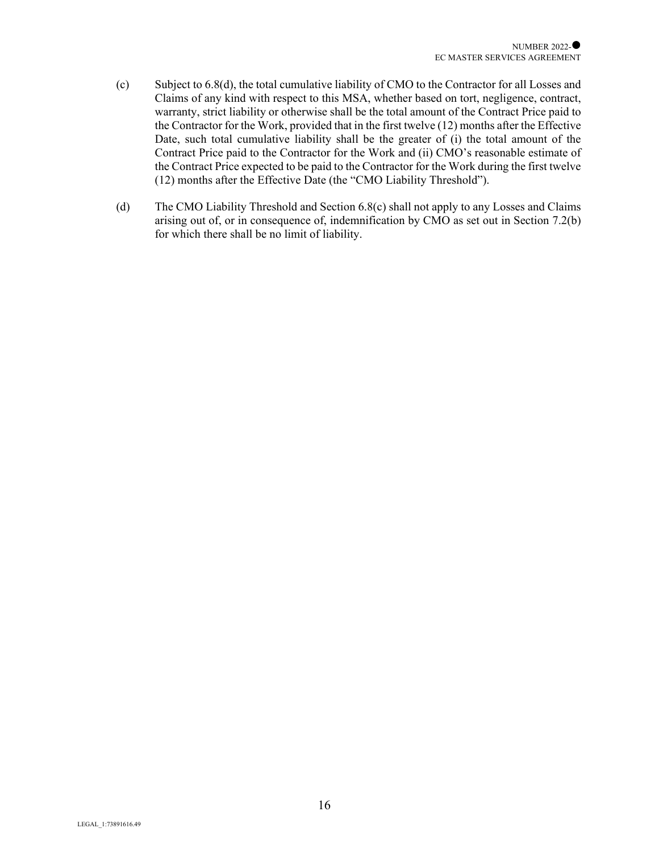- <span id="page-16-1"></span>(c) Subject to [6.8\(d\),](#page-16-0) the total cumulative liability of CMO to the Contractor for all Losses and Claims of any kind with respect to this MSA, whether based on tort, negligence, contract, warranty, strict liability or otherwise shall be the total amount of the Contract Price paid to the Contractor for the Work, provided that in the first twelve (12) months after the Effective Date, such total cumulative liability shall be the greater of (i) the total amount of the Contract Price paid to the Contractor for the Work and (ii) CMO's reasonable estimate of the Contract Price expected to be paid to the Contractor for the Work during the first twelve (12) months after the Effective Date (the "CMO Liability Threshold").
- <span id="page-16-0"></span>(d) The CMO Liability Threshold and Section [6.8\(c\)](#page-16-1) shall not apply to any Losses and Claims arising out of, or in consequence of, indemnification by CMO as set out in Section [7.2\(b\)](#page-18-0) for which there shall be no limit of liability.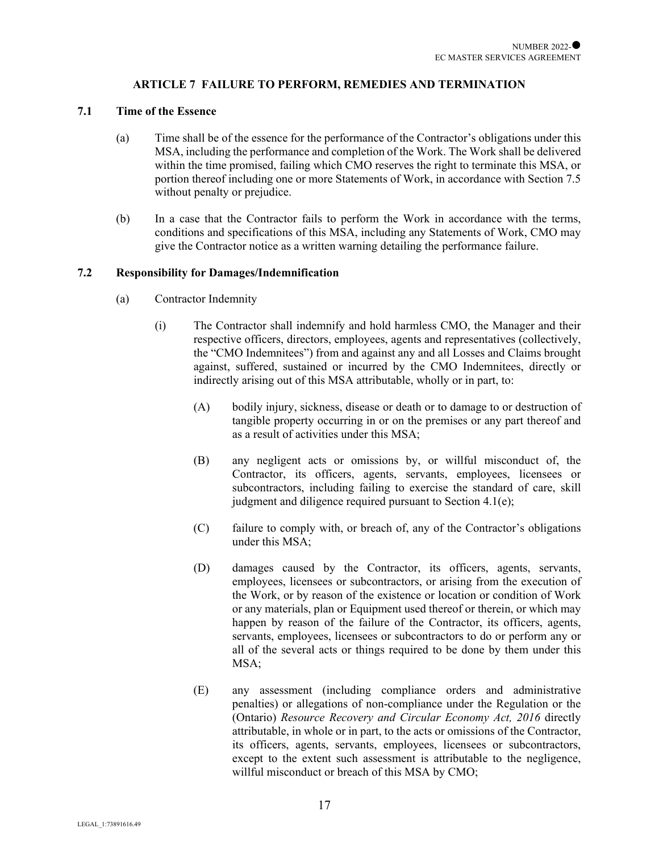# <span id="page-17-0"></span>**ARTICLE 7 FAILURE TO PERFORM, REMEDIES AND TERMINATION**

# <span id="page-17-1"></span>**7.1 Time of the Essence**

- (a) Time shall be of the essence for the performance of the Contractor's obligations under this MSA, including the performance and completion of the Work. The Work shall be delivered within the time promised, failing which CMO reserves the right to terminate this MSA, or portion thereof including one or more Statements of Work, in accordance with Section [7.5](#page-20-0) without penalty or prejudice.
- (b) In a case that the Contractor fails to perform the Work in accordance with the terms, conditions and specifications of this MSA, including any Statements of Work, CMO may give the Contractor notice as a written warning detailing the performance failure.

# <span id="page-17-3"></span><span id="page-17-2"></span>**7.2 Responsibility for Damages/Indemnification**

- (a) Contractor Indemnity
	- (i) The Contractor shall indemnify and hold harmless CMO, the Manager and their respective officers, directors, employees, agents and representatives (collectively, the "CMO Indemnitees") from and against any and all Losses and Claims brought against, suffered, sustained or incurred by the CMO Indemnitees, directly or indirectly arising out of this MSA attributable, wholly or in part, to:
		- (A) bodily injury, sickness, disease or death or to damage to or destruction of tangible property occurring in or on the premises or any part thereof and as a result of activities under this MSA;
		- (B) any negligent acts or omissions by, or willful misconduct of, the Contractor, its officers, agents, servants, employees, licensees or subcontractors, including failing to exercise the standard of care, skill judgment and diligence required pursuant to Section [4.1\(e\);](#page-11-2)
		- (C) failure to comply with, or breach of, any of the Contractor's obligations under this MSA;
		- (D) damages caused by the Contractor, its officers, agents, servants, employees, licensees or subcontractors, or arising from the execution of the Work, or by reason of the existence or location or condition of Work or any materials, plan or Equipment used thereof or therein, or which may happen by reason of the failure of the Contractor, its officers, agents, servants, employees, licensees or subcontractors to do or perform any or all of the several acts or things required to be done by them under this MSA;
		- (E) any assessment (including compliance orders and administrative penalties) or allegations of non-compliance under the Regulation or the (Ontario) *Resource Recovery and Circular Economy Act, 2016* directly attributable, in whole or in part, to the acts or omissions of the Contractor, its officers, agents, servants, employees, licensees or subcontractors, except to the extent such assessment is attributable to the negligence, willful misconduct or breach of this MSA by CMO;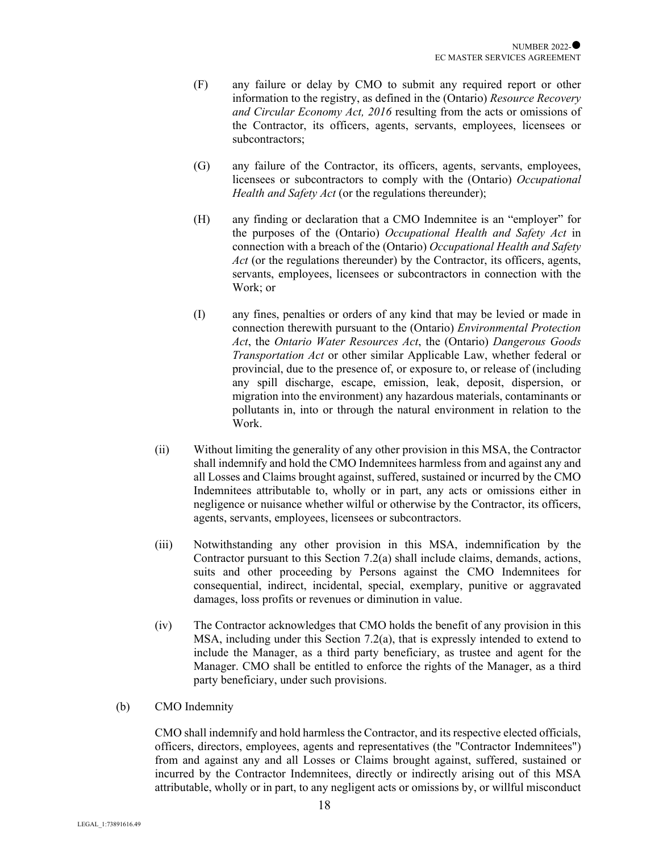- (F) any failure or delay by CMO to submit any required report or other information to the registry, as defined in the (Ontario) *Resource Recovery and Circular Economy Act, 2016* resulting from the acts or omissions of the Contractor, its officers, agents, servants, employees, licensees or subcontractors;
- (G) any failure of the Contractor, its officers, agents, servants, employees, licensees or subcontractors to comply with the (Ontario) *Occupational Health and Safety Act* (or the regulations thereunder);
- (H) any finding or declaration that a CMO Indemnitee is an "employer" for the purposes of the (Ontario) *Occupational Health and Safety Act* in connection with a breach of the (Ontario) *Occupational Health and Safety Act* (or the regulations thereunder) by the Contractor, its officers, agents, servants, employees, licensees or subcontractors in connection with the Work; or
- (I) any fines, penalties or orders of any kind that may be levied or made in connection therewith pursuant to the (Ontario) *Environmental Protection Act*, the *Ontario Water Resources Act*, the (Ontario) *Dangerous Goods Transportation Act* or other similar Applicable Law, whether federal or provincial, due to the presence of, or exposure to, or release of (including any spill discharge, escape, emission, leak, deposit, dispersion, or migration into the environment) any hazardous materials, contaminants or pollutants in, into or through the natural environment in relation to the Work.
- (ii) Without limiting the generality of any other provision in this MSA, the Contractor shall indemnify and hold the CMO Indemnitees harmless from and against any and all Losses and Claims brought against, suffered, sustained or incurred by the CMO Indemnitees attributable to, wholly or in part, any acts or omissions either in negligence or nuisance whether wilful or otherwise by the Contractor, its officers, agents, servants, employees, licensees or subcontractors.
- (iii) Notwithstanding any other provision in this MSA, indemnification by the Contractor pursuant to this Section [7.2\(a\)](#page-17-3) shall include claims, demands, actions, suits and other proceeding by Persons against the CMO Indemnitees for consequential, indirect, incidental, special, exemplary, punitive or aggravated damages, loss profits or revenues or diminution in value.
- (iv) The Contractor acknowledges that CMO holds the benefit of any provision in this MSA, including under this Section [7.2\(a\),](#page-17-3) that is expressly intended to extend to include the Manager, as a third party beneficiary, as trustee and agent for the Manager. CMO shall be entitled to enforce the rights of the Manager, as a third party beneficiary, under such provisions.
- <span id="page-18-0"></span>(b) CMO Indemnity

CMO shall indemnify and hold harmless the Contractor, and its respective elected officials, officers, directors, employees, agents and representatives (the "Contractor Indemnitees") from and against any and all Losses or Claims brought against, suffered, sustained or incurred by the Contractor Indemnitees, directly or indirectly arising out of this MSA attributable, wholly or in part, to any negligent acts or omissions by, or willful misconduct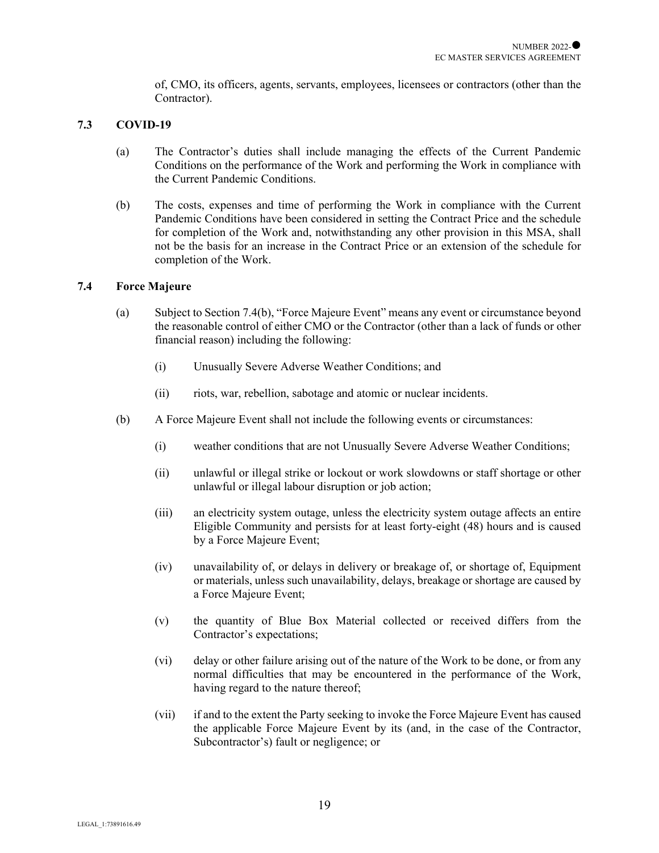of, CMO, its officers, agents, servants, employees, licensees or contractors (other than the Contractor).

# <span id="page-19-0"></span>**7.3 COVID-19**

- (a) The Contractor's duties shall include managing the effects of the Current Pandemic Conditions on the performance of the Work and performing the Work in compliance with the Current Pandemic Conditions.
- (b) The costs, expenses and time of performing the Work in compliance with the Current Pandemic Conditions have been considered in setting the Contract Price and the schedule for completion of the Work and, notwithstanding any other provision in this MSA, shall not be the basis for an increase in the Contract Price or an extension of the schedule for completion of the Work.

#### <span id="page-19-1"></span>**7.4 Force Majeure**

- (a) Subject to Section 7.4(b), "Force Majeure Event" means any event or circumstance beyond the reasonable control of either CMO or the Contractor (other than a lack of funds or other financial reason) including the following:
	- (i) Unusually Severe Adverse Weather Conditions; and
	- (ii) riots, war, rebellion, sabotage and atomic or nuclear incidents.
- (b) A Force Majeure Event shall not include the following events or circumstances:
	- (i) weather conditions that are not Unusually Severe Adverse Weather Conditions;
	- (ii) unlawful or illegal strike or lockout or work slowdowns or staff shortage or other unlawful or illegal labour disruption or job action;
	- (iii) an electricity system outage, unless the electricity system outage affects an entire Eligible Community and persists for at least forty-eight (48) hours and is caused by a Force Majeure Event;
	- (iv) unavailability of, or delays in delivery or breakage of, or shortage of, Equipment or materials, unless such unavailability, delays, breakage or shortage are caused by a Force Majeure Event;
	- (v) the quantity of Blue Box Material collected or received differs from the Contractor's expectations;
	- (vi) delay or other failure arising out of the nature of the Work to be done, or from any normal difficulties that may be encountered in the performance of the Work, having regard to the nature thereof;
	- (vii) if and to the extent the Party seeking to invoke the Force Majeure Event has caused the applicable Force Majeure Event by its (and, in the case of the Contractor, Subcontractor's) fault or negligence; or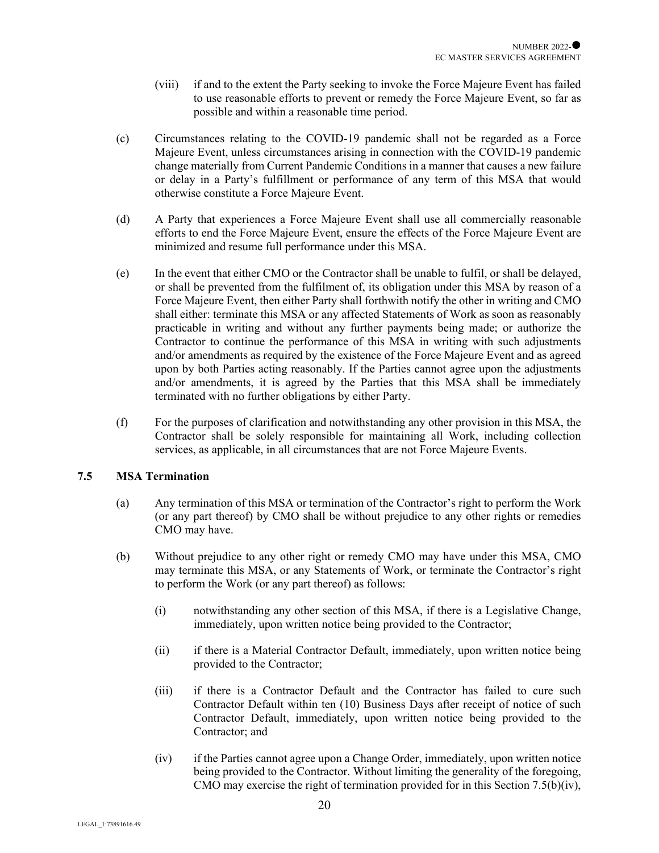- (viii) if and to the extent the Party seeking to invoke the Force Majeure Event has failed to use reasonable efforts to prevent or remedy the Force Majeure Event, so far as possible and within a reasonable time period.
- (c) Circumstances relating to the COVID-19 pandemic shall not be regarded as a Force Majeure Event, unless circumstances arising in connection with the COVID-19 pandemic change materially from Current Pandemic Conditions in a manner that causes a new failure or delay in a Party's fulfillment or performance of any term of this MSA that would otherwise constitute a Force Majeure Event.
- (d) A Party that experiences a Force Majeure Event shall use all commercially reasonable efforts to end the Force Majeure Event, ensure the effects of the Force Majeure Event are minimized and resume full performance under this MSA.
- (e) In the event that either CMO or the Contractor shall be unable to fulfil, or shall be delayed, or shall be prevented from the fulfilment of, its obligation under this MSA by reason of a Force Majeure Event, then either Party shall forthwith notify the other in writing and CMO shall either: terminate this MSA or any affected Statements of Work as soon as reasonably practicable in writing and without any further payments being made; or authorize the Contractor to continue the performance of this MSA in writing with such adjustments and/or amendments as required by the existence of the Force Majeure Event and as agreed upon by both Parties acting reasonably. If the Parties cannot agree upon the adjustments and/or amendments, it is agreed by the Parties that this MSA shall be immediately terminated with no further obligations by either Party.
- (f) For the purposes of clarification and notwithstanding any other provision in this MSA, the Contractor shall be solely responsible for maintaining all Work, including collection services, as applicable, in all circumstances that are not Force Majeure Events.

# <span id="page-20-0"></span>**7.5 MSA Termination**

- (a) Any termination of this MSA or termination of the Contractor's right to perform the Work (or any part thereof) by CMO shall be without prejudice to any other rights or remedies CMO may have.
- (b) Without prejudice to any other right or remedy CMO may have under this MSA, CMO may terminate this MSA, or any Statements of Work, or terminate the Contractor's right to perform the Work (or any part thereof) as follows:
	- (i) notwithstanding any other section of this MSA, if there is a Legislative Change, immediately, upon written notice being provided to the Contractor;
	- (ii) if there is a Material Contractor Default, immediately, upon written notice being provided to the Contractor;
	- (iii) if there is a Contractor Default and the Contractor has failed to cure such Contractor Default within ten (10) Business Days after receipt of notice of such Contractor Default, immediately, upon written notice being provided to the Contractor; and
	- (iv) if the Parties cannot agree upon a Change Order, immediately, upon written notice being provided to the Contractor. Without limiting the generality of the foregoing, CMO may exercise the right of termination provided for in this Section 7.5(b)(iv),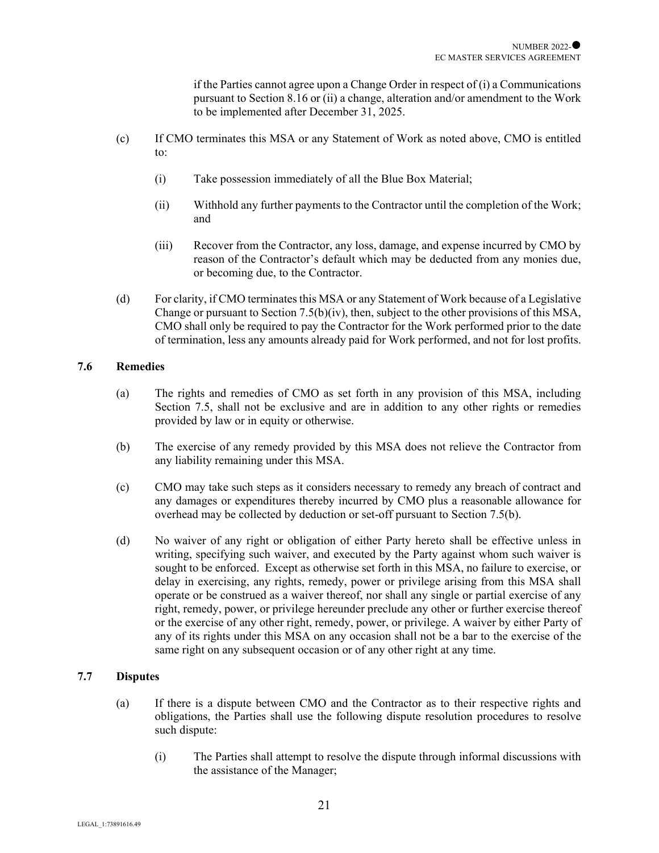if the Parties cannot agree upon a Change Order in respect of (i) a Communications pursuant to Section 8.16 or (ii) a change, alteration and/or amendment to the Work to be implemented after December 31, 2025.

- (c) If CMO terminates this MSA or any Statement of Work as noted above, CMO is entitled to:
	- (i) Take possession immediately of all the Blue Box Material;
	- (ii) Withhold any further payments to the Contractor until the completion of the Work; and
	- (iii) Recover from the Contractor, any loss, damage, and expense incurred by CMO by reason of the Contractor's default which may be deducted from any monies due, or becoming due, to the Contractor.
- (d) For clarity, if CMO terminates this MSA or any Statement of Work because of a Legislative Change or pursuant to Section 7.5(b)(iv), then, subject to the other provisions of this MSA, CMO shall only be required to pay the Contractor for the Work performed prior to the date of termination, less any amounts already paid for Work performed, and not for lost profits.

# <span id="page-21-0"></span>**7.6 Remedies**

- (a) The rights and remedies of CMO as set forth in any provision of this MSA, including Section 7.5, shall not be exclusive and are in addition to any other rights or remedies provided by law or in equity or otherwise.
- (b) The exercise of any remedy provided by this MSA does not relieve the Contractor from any liability remaining under this MSA.
- (c) CMO may take such steps as it considers necessary to remedy any breach of contract and any damages or expenditures thereby incurred by CMO plus a reasonable allowance for overhead may be collected by deduction or set-off pursuant to Section 7.5(b).
- (d) No waiver of any right or obligation of either Party hereto shall be effective unless in writing, specifying such waiver, and executed by the Party against whom such waiver is sought to be enforced. Except as otherwise set forth in this MSA, no failure to exercise, or delay in exercising, any rights, remedy, power or privilege arising from this MSA shall operate or be construed as a waiver thereof, nor shall any single or partial exercise of any right, remedy, power, or privilege hereunder preclude any other or further exercise thereof or the exercise of any other right, remedy, power, or privilege. A waiver by either Party of any of its rights under this MSA on any occasion shall not be a bar to the exercise of the same right on any subsequent occasion or of any other right at any time.

# <span id="page-21-1"></span>**7.7 Disputes**

- (a) If there is a dispute between CMO and the Contractor as to their respective rights and obligations, the Parties shall use the following dispute resolution procedures to resolve such dispute:
	- (i) The Parties shall attempt to resolve the dispute through informal discussions with the assistance of the Manager;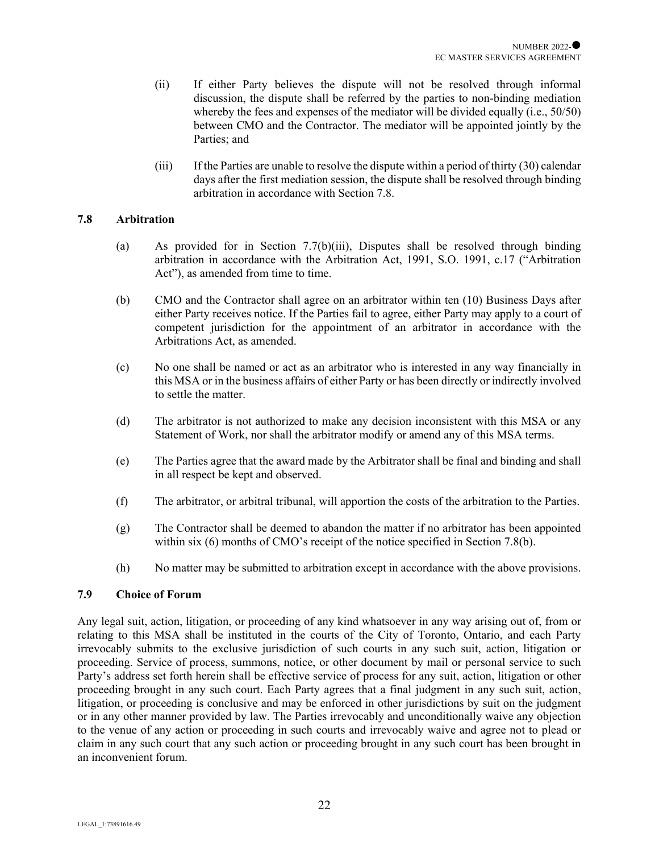- (ii) If either Party believes the dispute will not be resolved through informal discussion, the dispute shall be referred by the parties to non-binding mediation whereby the fees and expenses of the mediator will be divided equally (i.e., 50/50) between CMO and the Contractor. The mediator will be appointed jointly by the Parties; and
- (iii) If the Parties are unable to resolve the dispute within a period of thirty (30) calendar days after the first mediation session, the dispute shall be resolved through binding arbitration in accordance with Section [7.8.](#page-22-0)

# <span id="page-22-0"></span>**7.8 Arbitration**

- (a) As provided for in Section 7.7(b)(iii), Disputes shall be resolved through binding arbitration in accordance with the Arbitration Act, 1991, S.O. 1991, c.17 ("Arbitration Act"), as amended from time to time.
- (b) CMO and the Contractor shall agree on an arbitrator within ten (10) Business Days after either Party receives notice. If the Parties fail to agree, either Party may apply to a court of competent jurisdiction for the appointment of an arbitrator in accordance with the Arbitrations Act, as amended.
- (c) No one shall be named or act as an arbitrator who is interested in any way financially in this MSA or in the business affairs of either Party or has been directly or indirectly involved to settle the matter.
- (d) The arbitrator is not authorized to make any decision inconsistent with this MSA or any Statement of Work, nor shall the arbitrator modify or amend any of this MSA terms.
- (e) The Parties agree that the award made by the Arbitrator shall be final and binding and shall in all respect be kept and observed.
- (f) The arbitrator, or arbitral tribunal, will apportion the costs of the arbitration to the Parties.
- (g) The Contractor shall be deemed to abandon the matter if no arbitrator has been appointed within six (6) months of CMO's receipt of the notice specified in Section 7.8(b).
- (h) No matter may be submitted to arbitration except in accordance with the above provisions.

# <span id="page-22-1"></span>**7.9 Choice of Forum**

Any legal suit, action, litigation, or proceeding of any kind whatsoever in any way arising out of, from or relating to this MSA shall be instituted in the courts of the City of Toronto, Ontario, and each Party irrevocably submits to the exclusive jurisdiction of such courts in any such suit, action, litigation or proceeding. Service of process, summons, notice, or other document by mail or personal service to such Party's address set forth herein shall be effective service of process for any suit, action, litigation or other proceeding brought in any such court. Each Party agrees that a final judgment in any such suit, action, litigation, or proceeding is conclusive and may be enforced in other jurisdictions by suit on the judgment or in any other manner provided by law. The Parties irrevocably and unconditionally waive any objection to the venue of any action or proceeding in such courts and irrevocably waive and agree not to plead or claim in any such court that any such action or proceeding brought in any such court has been brought in an inconvenient forum.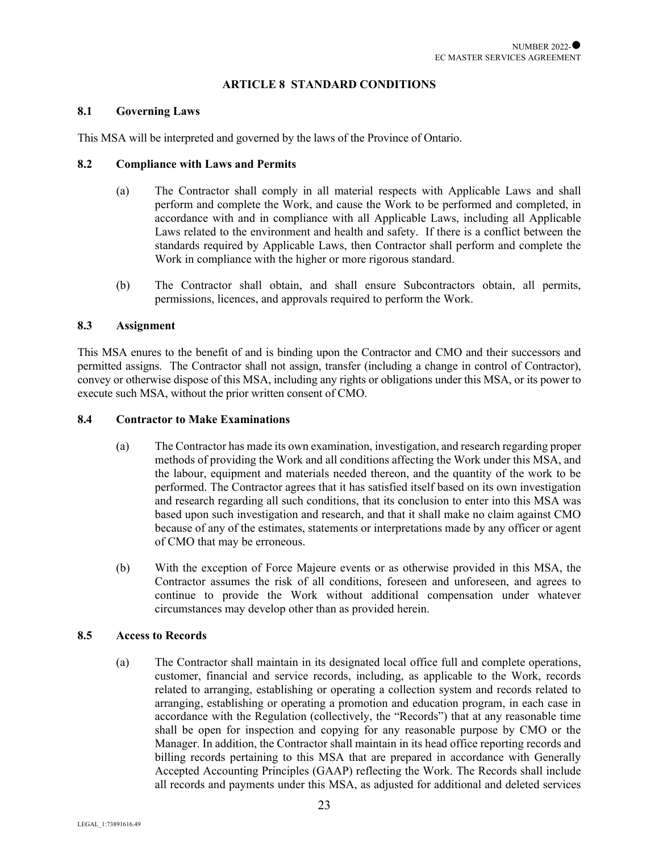### <span id="page-23-0"></span>**ARTICLE 8 STANDARD CONDITIONS**

#### <span id="page-23-1"></span>**8.1 Governing Laws**

This MSA will be interpreted and governed by the laws of the Province of Ontario.

#### <span id="page-23-2"></span>**8.2 Compliance with Laws and Permits**

- (a) The Contractor shall comply in all material respects with Applicable Laws and shall perform and complete the Work, and cause the Work to be performed and completed, in accordance with and in compliance with all Applicable Laws, including all Applicable Laws related to the environment and health and safety. If there is a conflict between the standards required by Applicable Laws, then Contractor shall perform and complete the Work in compliance with the higher or more rigorous standard.
- (b) The Contractor shall obtain, and shall ensure Subcontractors obtain, all permits, permissions, licences, and approvals required to perform the Work.

### <span id="page-23-3"></span>**8.3 Assignment**

This MSA enures to the benefit of and is binding upon the Contractor and CMO and their successors and permitted assigns. The Contractor shall not assign, transfer (including a change in control of Contractor), convey or otherwise dispose of this MSA, including any rights or obligations under this MSA, or its power to execute such MSA, without the prior written consent of CMO.

#### <span id="page-23-4"></span>**8.4 Contractor to Make Examinations**

- (a) The Contractor has made its own examination, investigation, and research regarding proper methods of providing the Work and all conditions affecting the Work under this MSA, and the labour, equipment and materials needed thereon, and the quantity of the work to be performed. The Contractor agrees that it has satisfied itself based on its own investigation and research regarding all such conditions, that its conclusion to enter into this MSA was based upon such investigation and research, and that it shall make no claim against CMO because of any of the estimates, statements or interpretations made by any officer or agent of CMO that may be erroneous.
- (b) With the exception of Force Majeure events or as otherwise provided in this MSA, the Contractor assumes the risk of all conditions, foreseen and unforeseen, and agrees to continue to provide the Work without additional compensation under whatever circumstances may develop other than as provided herein.

#### <span id="page-23-5"></span>**8.5 Access to Records**

(a) The Contractor shall maintain in its designated local office full and complete operations, customer, financial and service records, including, as applicable to the Work, records related to arranging, establishing or operating a collection system and records related to arranging, establishing or operating a promotion and education program, in each case in accordance with the Regulation (collectively, the "Records") that at any reasonable time shall be open for inspection and copying for any reasonable purpose by CMO or the Manager. In addition, the Contractor shall maintain in its head office reporting records and billing records pertaining to this MSA that are prepared in accordance with Generally Accepted Accounting Principles (GAAP) reflecting the Work. The Records shall include all records and payments under this MSA, as adjusted for additional and deleted services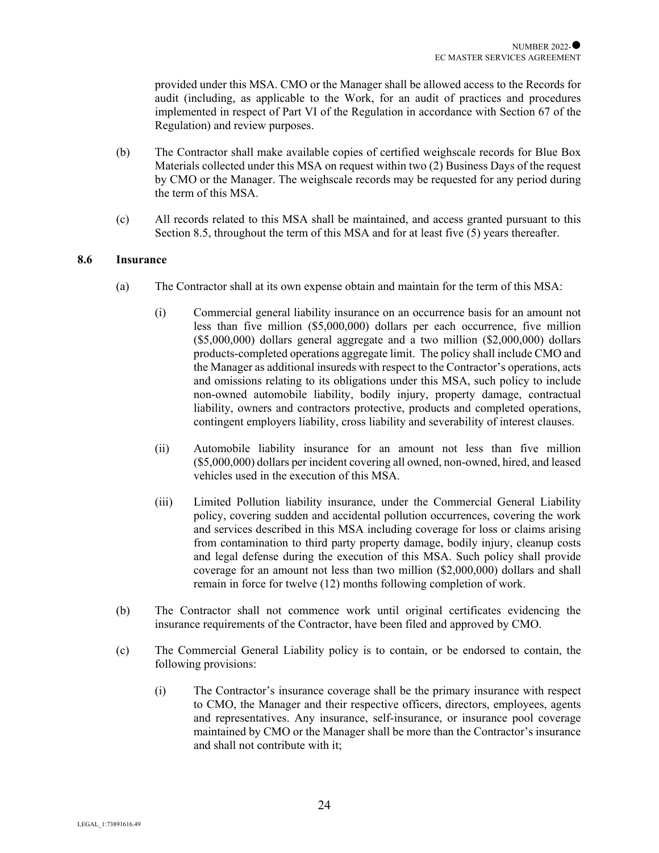provided under this MSA. CMO or the Manager shall be allowed access to the Records for audit (including, as applicable to the Work, for an audit of practices and procedures implemented in respect of Part VI of the Regulation in accordance with Section 67 of the Regulation) and review purposes.

- (b) The Contractor shall make available copies of certified weighscale records for Blue Box Materials collected under this MSA on request within two (2) Business Days of the request by CMO or the Manager. The weighscale records may be requested for any period during the term of this MSA.
- (c) All records related to this MSA shall be maintained, and access granted pursuant to this Section 8.5, throughout the term of this MSA and for at least five (5) years thereafter.

#### <span id="page-24-1"></span><span id="page-24-0"></span>**8.6 Insurance**

- (a) The Contractor shall at its own expense obtain and maintain for the term of this MSA:
	- (i) Commercial general liability insurance on an occurrence basis for an amount not less than five million (\$5,000,000) dollars per each occurrence, five million (\$5,000,000) dollars general aggregate and a two million (\$2,000,000) dollars products-completed operations aggregate limit. The policy shall include CMO and the Manager as additional insureds with respect to the Contractor's operations, acts and omissions relating to its obligations under this MSA, such policy to include non-owned automobile liability, bodily injury, property damage, contractual liability, owners and contractors protective, products and completed operations, contingent employers liability, cross liability and severability of interest clauses.
	- (ii) Automobile liability insurance for an amount not less than five million (\$5,000,000) dollars per incident covering all owned, non-owned, hired, and leased vehicles used in the execution of this MSA.
	- (iii) Limited Pollution liability insurance, under the Commercial General Liability policy, covering sudden and accidental pollution occurrences, covering the work and services described in this MSA including coverage for loss or claims arising from contamination to third party property damage, bodily injury, cleanup costs and legal defense during the execution of this MSA. Such policy shall provide coverage for an amount not less than two million (\$2,000,000) dollars and shall remain in force for twelve (12) months following completion of work.
- (b) The Contractor shall not commence work until original certificates evidencing the insurance requirements of the Contractor, have been filed and approved by CMO.
- (c) The Commercial General Liability policy is to contain, or be endorsed to contain, the following provisions:
	- (i) The Contractor's insurance coverage shall be the primary insurance with respect to CMO, the Manager and their respective officers, directors, employees, agents and representatives. Any insurance, self-insurance, or insurance pool coverage maintained by CMO or the Manager shall be more than the Contractor's insurance and shall not contribute with it;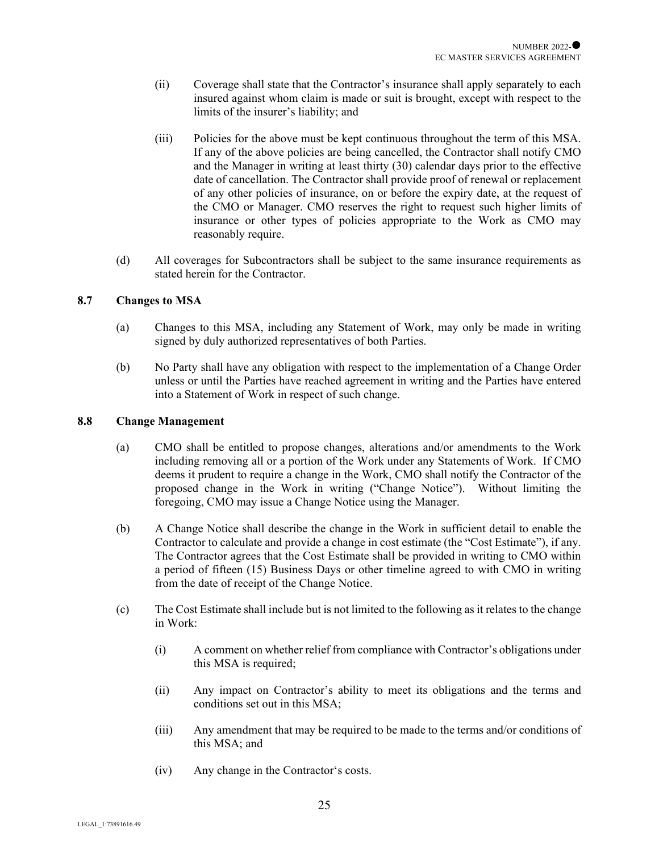- (ii) Coverage shall state that the Contractor's insurance shall apply separately to each insured against whom claim is made or suit is brought, except with respect to the limits of the insurer's liability; and
- (iii) Policies for the above must be kept continuous throughout the term of this MSA. If any of the above policies are being cancelled, the Contractor shall notify CMO and the Manager in writing at least thirty (30) calendar days prior to the effective date of cancellation. The Contractor shall provide proof of renewal or replacement of any other policies of insurance, on or before the expiry date, at the request of the CMO or Manager. CMO reserves the right to request such higher limits of insurance or other types of policies appropriate to the Work as CMO may reasonably require.
- (d) All coverages for Subcontractors shall be subject to the same insurance requirements as stated herein for the Contractor.

# **8.7 Changes to MSA**

- (a) Changes to this MSA, including any Statement of Work, may only be made in writing signed by duly authorized representatives of both Parties.
- (b) No Party shall have any obligation with respect to the implementation of a Change Order unless or until the Parties have reached agreement in writing and the Parties have entered into a Statement of Work in respect of such change.

# <span id="page-25-0"></span>**8.8 Change Management**

- (a) CMO shall be entitled to propose changes, alterations and/or amendments to the Work including removing all or a portion of the Work under any Statements of Work. If CMO deems it prudent to require a change in the Work, CMO shall notify the Contractor of the proposed change in the Work in writing ("Change Notice"). Without limiting the foregoing, CMO may issue a Change Notice using the Manager.
- (b) A Change Notice shall describe the change in the Work in sufficient detail to enable the Contractor to calculate and provide a change in cost estimate (the "Cost Estimate"), if any. The Contractor agrees that the Cost Estimate shall be provided in writing to CMO within a period of fifteen (15) Business Days or other timeline agreed to with CMO in writing from the date of receipt of the Change Notice.
- (c) The Cost Estimate shall include but is not limited to the following as it relates to the change in Work:
	- (i) A comment on whether relief from compliance with Contractor's obligations under this MSA is required;
	- (ii) Any impact on Contractor's ability to meet its obligations and the terms and conditions set out in this MSA;
	- (iii) Any amendment that may be required to be made to the terms and/or conditions of this MSA; and
	- (iv) Any change in the Contractor's costs.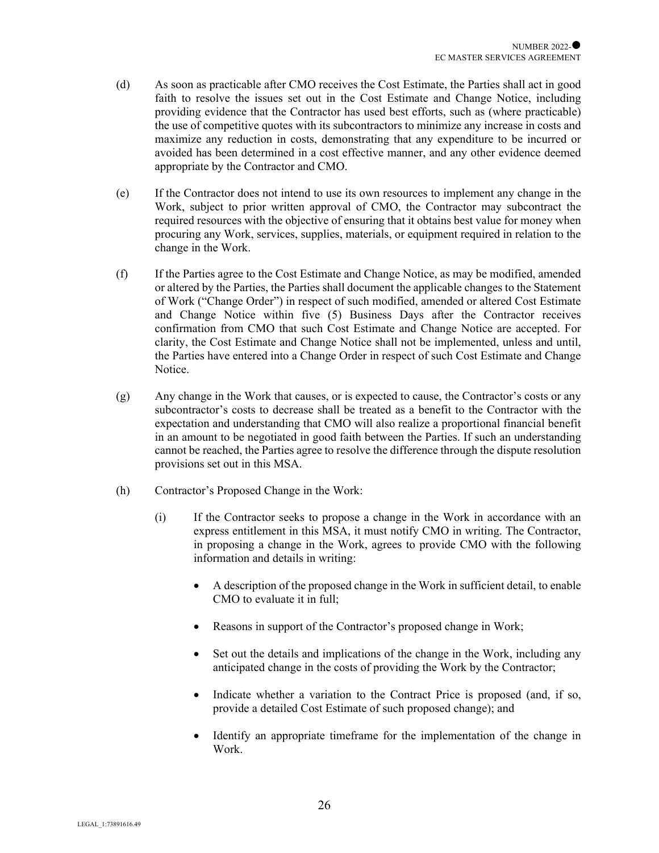- (d) As soon as practicable after CMO receives the Cost Estimate, the Parties shall act in good faith to resolve the issues set out in the Cost Estimate and Change Notice, including providing evidence that the Contractor has used best efforts, such as (where practicable) the use of competitive quotes with its subcontractors to minimize any increase in costs and maximize any reduction in costs, demonstrating that any expenditure to be incurred or avoided has been determined in a cost effective manner, and any other evidence deemed appropriate by the Contractor and CMO.
- (e) If the Contractor does not intend to use its own resources to implement any change in the Work, subject to prior written approval of CMO, the Contractor may subcontract the required resources with the objective of ensuring that it obtains best value for money when procuring any Work, services, supplies, materials, or equipment required in relation to the change in the Work.
- (f) If the Parties agree to the Cost Estimate and Change Notice, as may be modified, amended or altered by the Parties, the Parties shall document the applicable changes to the Statement of Work ("Change Order") in respect of such modified, amended or altered Cost Estimate and Change Notice within five (5) Business Days after the Contractor receives confirmation from CMO that such Cost Estimate and Change Notice are accepted. For clarity, the Cost Estimate and Change Notice shall not be implemented, unless and until, the Parties have entered into a Change Order in respect of such Cost Estimate and Change Notice.
- (g) Any change in the Work that causes, or is expected to cause, the Contractor's costs or any subcontractor's costs to decrease shall be treated as a benefit to the Contractor with the expectation and understanding that CMO will also realize a proportional financial benefit in an amount to be negotiated in good faith between the Parties. If such an understanding cannot be reached, the Parties agree to resolve the difference through the dispute resolution provisions set out in this MSA.
- (h) Contractor's Proposed Change in the Work:
	- (i) If the Contractor seeks to propose a change in the Work in accordance with an express entitlement in this MSA, it must notify CMO in writing. The Contractor, in proposing a change in the Work, agrees to provide CMO with the following information and details in writing:
		- A description of the proposed change in the Work in sufficient detail, to enable CMO to evaluate it in full;
		- Reasons in support of the Contractor's proposed change in Work;
		- Set out the details and implications of the change in the Work, including any anticipated change in the costs of providing the Work by the Contractor;
		- Indicate whether a variation to the Contract Price is proposed (and, if so, provide a detailed Cost Estimate of such proposed change); and
		- Identify an appropriate timeframe for the implementation of the change in Work.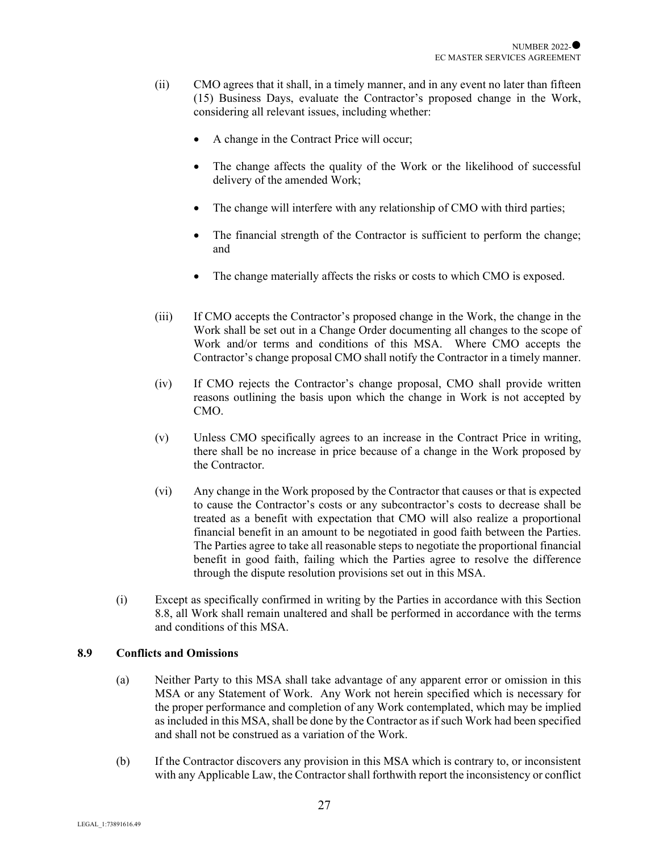- (ii) CMO agrees that it shall, in a timely manner, and in any event no later than fifteen (15) Business Days, evaluate the Contractor's proposed change in the Work, considering all relevant issues, including whether:
	- A change in the Contract Price will occur;
	- The change affects the quality of the Work or the likelihood of successful delivery of the amended Work;
	- The change will interfere with any relationship of CMO with third parties;
	- The financial strength of the Contractor is sufficient to perform the change; and
	- The change materially affects the risks or costs to which CMO is exposed.
- (iii) If CMO accepts the Contractor's proposed change in the Work, the change in the Work shall be set out in a Change Order documenting all changes to the scope of Work and/or terms and conditions of this MSA. Where CMO accepts the Contractor's change proposal CMO shall notify the Contractor in a timely manner.
- (iv) If CMO rejects the Contractor's change proposal, CMO shall provide written reasons outlining the basis upon which the change in Work is not accepted by CMO.
- (v) Unless CMO specifically agrees to an increase in the Contract Price in writing, there shall be no increase in price because of a change in the Work proposed by the Contractor.
- (vi) Any change in the Work proposed by the Contractor that causes or that is expected to cause the Contractor's costs or any subcontractor's costs to decrease shall be treated as a benefit with expectation that CMO will also realize a proportional financial benefit in an amount to be negotiated in good faith between the Parties. The Parties agree to take all reasonable steps to negotiate the proportional financial benefit in good faith, failing which the Parties agree to resolve the difference through the dispute resolution provisions set out in this MSA.
- (i) Except as specifically confirmed in writing by the Parties in accordance with this Section 8.8, all Work shall remain unaltered and shall be performed in accordance with the terms and conditions of this MSA.

# <span id="page-27-0"></span>**8.9 Conflicts and Omissions**

- (a) Neither Party to this MSA shall take advantage of any apparent error or omission in this MSA or any Statement of Work. Any Work not herein specified which is necessary for the proper performance and completion of any Work contemplated, which may be implied as included in this MSA, shall be done by the Contractor as if such Work had been specified and shall not be construed as a variation of the Work.
- (b) If the Contractor discovers any provision in this MSA which is contrary to, or inconsistent with any Applicable Law, the Contractor shall forthwith report the inconsistency or conflict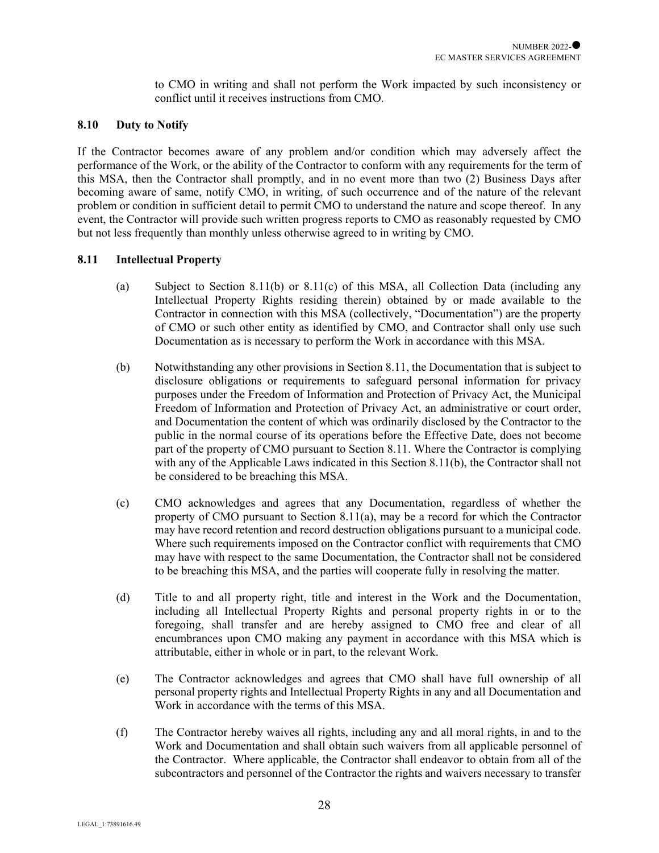to CMO in writing and shall not perform the Work impacted by such inconsistency or conflict until it receives instructions from CMO.

### <span id="page-28-0"></span>**8.10 Duty to Notify**

If the Contractor becomes aware of any problem and/or condition which may adversely affect the performance of the Work, or the ability of the Contractor to conform with any requirements for the term of this MSA, then the Contractor shall promptly, and in no event more than two (2) Business Days after becoming aware of same, notify CMO, in writing, of such occurrence and of the nature of the relevant problem or condition in sufficient detail to permit CMO to understand the nature and scope thereof. In any event, the Contractor will provide such written progress reports to CMO as reasonably requested by CMO but not less frequently than monthly unless otherwise agreed to in writing by CMO.

#### <span id="page-28-2"></span><span id="page-28-1"></span>**8.11 Intellectual Property**

- (a) Subject to Section 8.11(b) or 8.11(c) of this MSA, all Collection Data (including any Intellectual Property Rights residing therein) obtained by or made available to the Contractor in connection with this MSA (collectively, "Documentation") are the property of CMO or such other entity as identified by CMO, and Contractor shall only use such Documentation as is necessary to perform the Work in accordance with this MSA.
- (b) Notwithstanding any other provisions in Section 8.11, the Documentation that is subject to disclosure obligations or requirements to safeguard personal information for privacy purposes under the Freedom of Information and Protection of Privacy Act, the Municipal Freedom of Information and Protection of Privacy Act, an administrative or court order, and Documentation the content of which was ordinarily disclosed by the Contractor to the public in the normal course of its operations before the Effective Date, does not become part of the property of CMO pursuant to Section 8.11. Where the Contractor is complying with any of the Applicable Laws indicated in this Section 8.11(b), the Contractor shall not be considered to be breaching this MSA.
- (c) CMO acknowledges and agrees that any Documentation, regardless of whether the property of CMO pursuant to Section 8.11(a), may be a record for which the Contractor may have record retention and record destruction obligations pursuant to a municipal code. Where such requirements imposed on the Contractor conflict with requirements that CMO may have with respect to the same Documentation, the Contractor shall not be considered to be breaching this MSA, and the parties will cooperate fully in resolving the matter.
- (d) Title to and all property right, title and interest in the Work and the Documentation, including all Intellectual Property Rights and personal property rights in or to the foregoing, shall transfer and are hereby assigned to CMO free and clear of all encumbrances upon CMO making any payment in accordance with this MSA which is attributable, either in whole or in part, to the relevant Work.
- (e) The Contractor acknowledges and agrees that CMO shall have full ownership of all personal property rights and Intellectual Property Rights in any and all Documentation and Work in accordance with the terms of this MSA.
- (f) The Contractor hereby waives all rights, including any and all moral rights, in and to the Work and Documentation and shall obtain such waivers from all applicable personnel of the Contractor. Where applicable, the Contractor shall endeavor to obtain from all of the subcontractors and personnel of the Contractor the rights and waivers necessary to transfer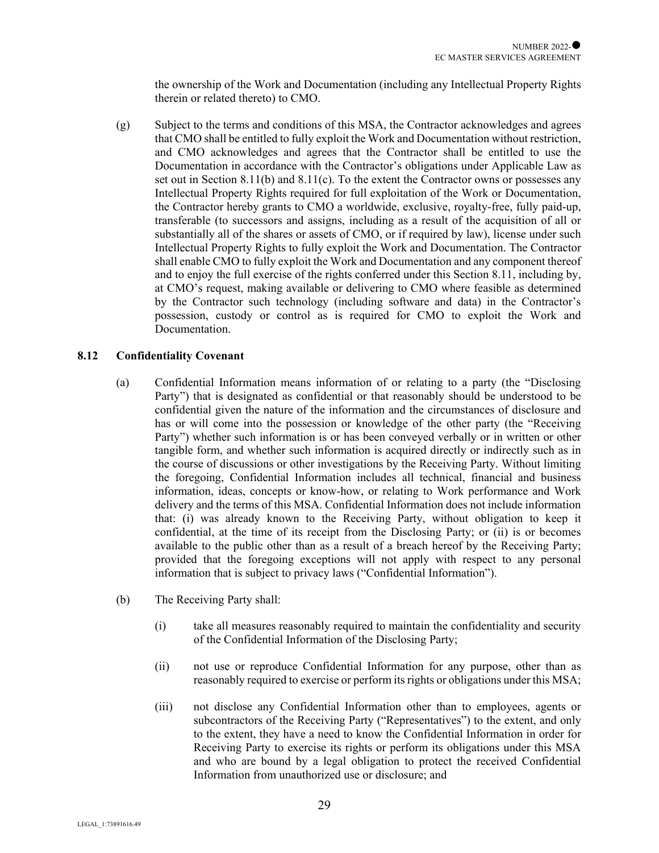the ownership of the Work and Documentation (including any Intellectual Property Rights therein or related thereto) to CMO.

(g) Subject to the terms and conditions of this MSA, the Contractor acknowledges and agrees that CMO shall be entitled to fully exploit the Work and Documentation without restriction, and CMO acknowledges and agrees that the Contractor shall be entitled to use the Documentation in accordance with the Contractor's obligations under Applicable Law as set out in Section 8.11(b) and 8.11(c). To the extent the Contractor owns or possesses any Intellectual Property Rights required for full exploitation of the Work or Documentation, the Contractor hereby grants to CMO a worldwide, exclusive, royalty-free, fully paid-up, transferable (to successors and assigns, including as a result of the acquisition of all or substantially all of the shares or assets of CMO, or if required by law), license under such Intellectual Property Rights to fully exploit the Work and Documentation. The Contractor shall enable CMO to fully exploit the Work and Documentation and any component thereof and to enjoy the full exercise of the rights conferred under this Section 8.11, including by, at CMO's request, making available or delivering to CMO where feasible as determined by the Contractor such technology (including software and data) in the Contractor's possession, custody or control as is required for CMO to exploit the Work and Documentation.

# **8.12 Confidentiality Covenant**

- (a) Confidential Information means information of or relating to a party (the "Disclosing Party") that is designated as confidential or that reasonably should be understood to be confidential given the nature of the information and the circumstances of disclosure and has or will come into the possession or knowledge of the other party (the "Receiving Party") whether such information is or has been conveyed verbally or in written or other tangible form, and whether such information is acquired directly or indirectly such as in the course of discussions or other investigations by the Receiving Party. Without limiting the foregoing, Confidential Information includes all technical, financial and business information, ideas, concepts or know-how, or relating to Work performance and Work delivery and the terms of this MSA. Confidential Information does not include information that: (i) was already known to the Receiving Party, without obligation to keep it confidential, at the time of its receipt from the Disclosing Party; or (ii) is or becomes available to the public other than as a result of a breach hereof by the Receiving Party; provided that the foregoing exceptions will not apply with respect to any personal information that is subject to privacy laws ("Confidential Information").
- (b) The Receiving Party shall:
	- (i) take all measures reasonably required to maintain the confidentiality and security of the Confidential Information of the Disclosing Party;
	- (ii) not use or reproduce Confidential Information for any purpose, other than as reasonably required to exercise or perform its rights or obligations under this MSA;
	- (iii) not disclose any Confidential Information other than to employees, agents or subcontractors of the Receiving Party ("Representatives") to the extent, and only to the extent, they have a need to know the Confidential Information in order for Receiving Party to exercise its rights or perform its obligations under this MSA and who are bound by a legal obligation to protect the received Confidential Information from unauthorized use or disclosure; and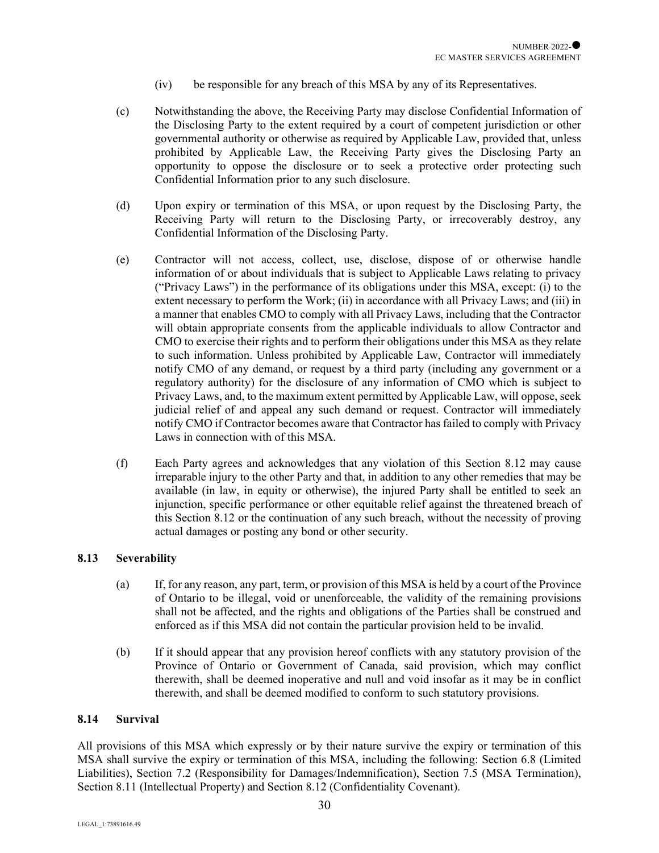- (iv) be responsible for any breach of this MSA by any of its Representatives.
- (c) Notwithstanding the above, the Receiving Party may disclose Confidential Information of the Disclosing Party to the extent required by a court of competent jurisdiction or other governmental authority or otherwise as required by Applicable Law, provided that, unless prohibited by Applicable Law, the Receiving Party gives the Disclosing Party an opportunity to oppose the disclosure or to seek a protective order protecting such Confidential Information prior to any such disclosure.
- (d) Upon expiry or termination of this MSA, or upon request by the Disclosing Party, the Receiving Party will return to the Disclosing Party, or irrecoverably destroy, any Confidential Information of the Disclosing Party.
- (e) Contractor will not access, collect, use, disclose, dispose of or otherwise handle information of or about individuals that is subject to Applicable Laws relating to privacy ("Privacy Laws") in the performance of its obligations under this MSA, except: (i) to the extent necessary to perform the Work; (ii) in accordance with all Privacy Laws; and (iii) in a manner that enables CMO to comply with all Privacy Laws, including that the Contractor will obtain appropriate consents from the applicable individuals to allow Contractor and CMO to exercise their rights and to perform their obligations under this MSA as they relate to such information. Unless prohibited by Applicable Law, Contractor will immediately notify CMO of any demand, or request by a third party (including any government or a regulatory authority) for the disclosure of any information of CMO which is subject to Privacy Laws, and, to the maximum extent permitted by Applicable Law, will oppose, seek judicial relief of and appeal any such demand or request. Contractor will immediately notify CMO if Contractor becomes aware that Contractor has failed to comply with Privacy Laws in connection with of this MSA.
- (f) Each Party agrees and acknowledges that any violation of this Section 8.12 may cause irreparable injury to the other Party and that, in addition to any other remedies that may be available (in law, in equity or otherwise), the injured Party shall be entitled to seek an injunction, specific performance or other equitable relief against the threatened breach of this Section [8.12](#page-28-2) or the continuation of any such breach, without the necessity of proving actual damages or posting any bond or other security.

# <span id="page-30-0"></span>**8.13 Severability**

- (a) If, for any reason, any part, term, or provision of this MSA is held by a court of the Province of Ontario to be illegal, void or unenforceable, the validity of the remaining provisions shall not be affected, and the rights and obligations of the Parties shall be construed and enforced as if this MSA did not contain the particular provision held to be invalid.
- (b) If it should appear that any provision hereof conflicts with any statutory provision of the Province of Ontario or Government of Canada, said provision, which may conflict therewith, shall be deemed inoperative and null and void insofar as it may be in conflict therewith, and shall be deemed modified to conform to such statutory provisions.

# <span id="page-30-1"></span>**8.14 Survival**

All provisions of this MSA which expressly or by their nature survive the expiry or termination of this MSA shall survive the expiry or termination of this MSA, including the following: Section [6.8](#page-15-5) (Limited Liabilities), Section [7.2](#page-17-2) (Responsibility for Damages/Indemnification), Section [7.5](#page-20-0) (MSA Termination), Section [8.11](#page-28-1) (Intellectual Property) and Section [8.12](#page-28-2) (Confidentiality Covenant).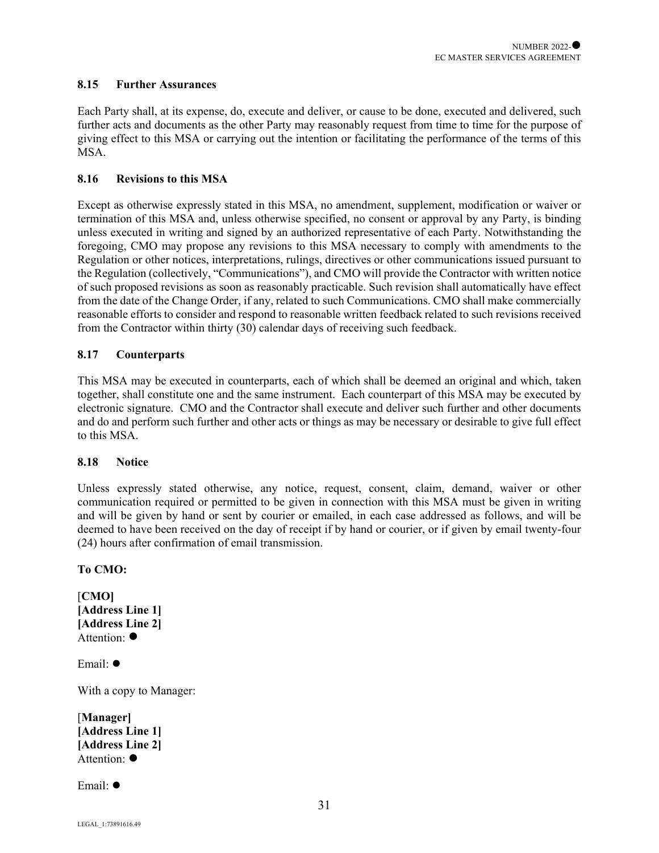# <span id="page-31-0"></span>**8.15 Further Assurances**

Each Party shall, at its expense, do, execute and deliver, or cause to be done, executed and delivered, such further acts and documents as the other Party may reasonably request from time to time for the purpose of giving effect to this MSA or carrying out the intention or facilitating the performance of the terms of this MSA.

### <span id="page-31-1"></span>**8.16 Revisions to this MSA**

Except as otherwise expressly stated in this MSA, no amendment, supplement, modification or waiver or termination of this MSA and, unless otherwise specified, no consent or approval by any Party, is binding unless executed in writing and signed by an authorized representative of each Party. Notwithstanding the foregoing, CMO may propose any revisions to this MSA necessary to comply with amendments to the Regulation or other notices, interpretations, rulings, directives or other communications issued pursuant to the Regulation (collectively, "Communications"), and CMO will provide the Contractor with written notice of such proposed revisions as soon as reasonably practicable. Such revision shall automatically have effect from the date of the Change Order, if any, related to such Communications. CMO shall make commercially reasonable efforts to consider and respond to reasonable written feedback related to such revisions received from the Contractor within thirty (30) calendar days of receiving such feedback.

#### <span id="page-31-2"></span>**8.17 Counterparts**

This MSA may be executed in counterparts, each of which shall be deemed an original and which, taken together, shall constitute one and the same instrument. Each counterpart of this MSA may be executed by electronic signature. CMO and the Contractor shall execute and deliver such further and other documents and do and perform such further and other acts or things as may be necessary or desirable to give full effect to this MSA.

#### <span id="page-31-3"></span>**8.18 Notice**

Unless expressly stated otherwise, any notice, request, consent, claim, demand, waiver or other communication required or permitted to be given in connection with this MSA must be given in writing and will be given by hand or sent by courier or emailed, in each case addressed as follows, and will be deemed to have been received on the day of receipt if by hand or courier, or if given by email twenty-four (24) hours after confirmation of email transmission.

#### **To CMO:**

```
[CMO]
[Address Line 1]
[Address Line 2]
Attention: \bullet
```
Email:

With a copy to Manager:

```
[Manager]
[Address Line 1]
[Address Line 2]
Attention: \bullet
```

```
Email:
```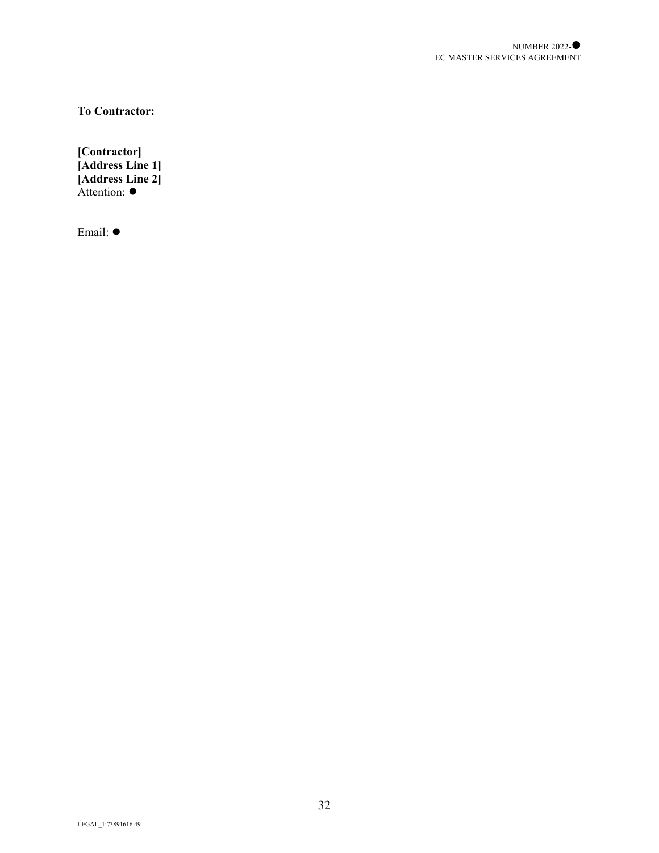**To Contractor:**

**[Contractor] [Address Line 1] [Address Line 2]** Attention:  $\bullet$ 

Email:  $\bullet$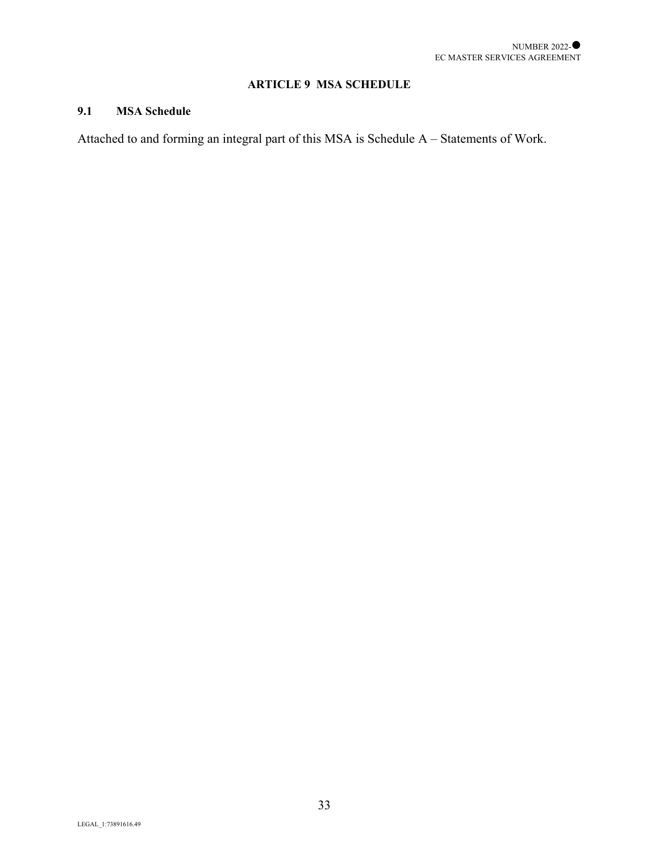# <span id="page-33-0"></span>**ARTICLE 9 MSA SCHEDULE**

# <span id="page-33-1"></span>**9.1 MSA Schedule**

Attached to and forming an integral part of this MSA is Schedule A – Statements of Work.